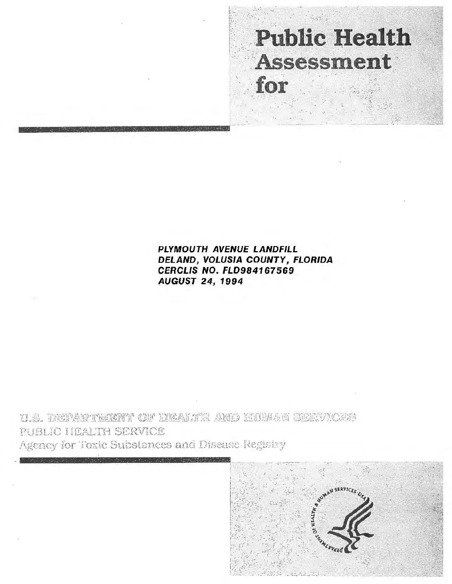

PLYMOUTH AVENUE LANDFILL DELAND, VOLUSIA COUNTY, FLORIDA CERCLIS NO. FLD984167569 AUGUST 24, 1994

U.S. DEPARTMIENT OF ERALTE AND EURIAN SEEVICES PUBLIC HEALTH SERVICE Agency for Toxic Substances and Disease Registry

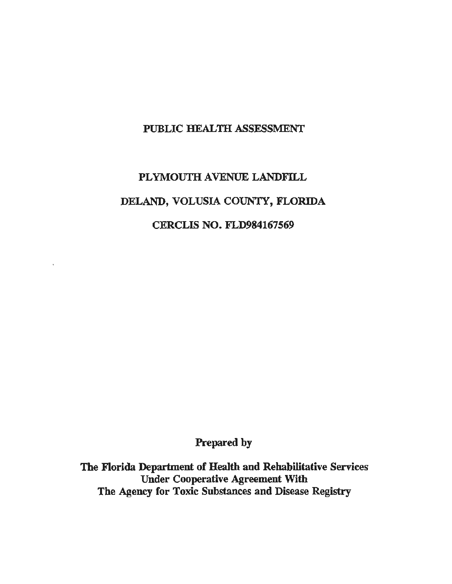## PUBLIC HEALTH ASSESSMENT

## PLYMOUTH AVENUE LANDFILL DELAND, VOLUSIA COUNTY, FLORIDA CERCLIS NO. FLD984167569

Prepared by

The Florida Department of Health and Rehabilitative Services Under Cooperative Agreement With The Agency for Toxic Substances and Disease Registry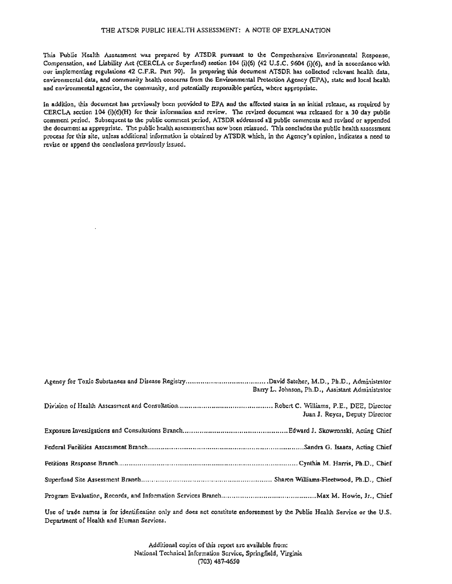This Public Health Assessment was prepared by ATSDR pursuant to the Comprehensive Environmental Response, Compensation, and Liability Act (CERCLA or Superfund) section 104 (i)(6) (42 U.S.C. 9604 (i)(6), and in accordance with our implementing regulations 42 C.F.R. Part 90). In preparing this document ATSDR has collected relevant health data, environmental data, and community health concerns from the Environmental Protection Agency (EPA), state and local health and environmental agencies, the community, and potentially responsible parties, where appropriate.

In addition, this document has previously been provided to EPA and the affected states in an initial release, as required by CERCLA section 104 (i)(6)(H) for their infonnation and review. The revised document was released for a 30 day public comment period. Subsequent to the public comment period, ATSDR addressed all public comments and revised or appended the document as appropriate. The public health assessment has now been reissued. This concludes the public health assessment process for this site, unless additional information is obtained by ATSDR which, in the Agency's opinion, indicates a need to revise or append the conclusions previously issued.

| Barry L. Johnson, Ph.D., Assistant Administrator |
|--------------------------------------------------|
| Juan J. Reyes, Deputy Director                   |
|                                                  |
|                                                  |
|                                                  |
|                                                  |
|                                                  |

Use of trade names is for identification only and does not constitute endorsement by the Public Health Service or the U.S. Department of Health and Human Services.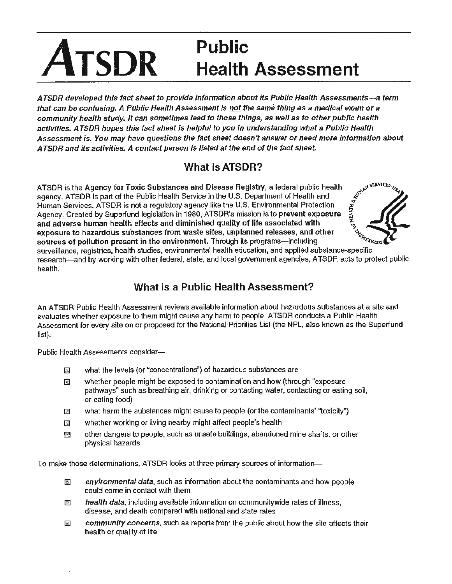# **Public ATSDR Health Assessment**

A TSDR developed this fact sheet to provide information about its Public Health Assessments-a term that can be confusing. A Public Health Assessment is not the same thing as a medical exam or a community health study. It can sometimes lead to those things, as well as to other public health activities. A TSDR hopes this fact sheet is helpful to you in understanding what a Public Health Assessment is. You may have questions the fact sheet doesn't answer or need more information about A TSDR and its activities. A contact person is listed at the end of the fact sheet.

## What is ATSDR?

ATSDR is the Agency for Toxic Substances and Disease Registry, a federal public health agency. ATSDR is part of the Public Health Service in the U.S. Department of Health and Human Services. ATSDR is not a regulatory agenc agency. ATSDR is part of the Public Health Service in the U.S. Department of Health and ATSDR is the Agency for Toxic Substances and Disease Registry, a federal public health<br>agency. ATSDR is part of the Public Health Service in the U.S. Department of Health and<br>Human Services. ATSDR is not a regulatory agenc Agency. Created by Superfund legislation in 1980, ATSDR's mission is to prevent exposure  $\frac{13}{5}$ <br>and adverse burnan bealth effects and diminished quality of life associated with and adverse human health effects and diminished quality of life associated with exposure to hazardous substances from waste sites, unplanned releases, and other sources of pollution present in the environment. Through its programs-including



surveillance, registries, health studies, environmental health education, and applied substance-specific research-and by working with other federal, state, and local government agencies, ATSDR acts to protect public health.

## What is a Public Health Assessment?

An ATSDR Public Health Assessment reviews available information about hazardous substances at a site and evaluates whether exposure to them might cause any harm to people. ATSDR conducts a Public Health Assessment for every site on or proposed for the National Priorities List (the NPL, also known as the Superfund list).

Public Health Assessments consider-

- $\mathbb{R}$  what the levels (or "concentrations") of hazardous substances are
- $\mathbb{R}$  whether people might be exposed to contamination and how (through "exposure pathways" such as breathing air, drinking or contacting water, contacting or eating soil, or eating food)
- $\mathbb{I}$  what harm the substances might cause to people (or the contaminants' "toxicity")
- $\mathbb{F}$  whether working or living nearby might affect people's health
- $\boxtimes$  other dangers to people, such as unsafe buildings, abandoned mine shafts, or other physical hazards

To make those determinations, ATSDR looks at three primary sources of information-

- $\boxtimes$  environmental data, such as information about the contaminants and how people could come in contact with them
- $\Box$  health data, including available information on communitywide rates of illness, disease, and death compared with national and state rates
- $\Box$  community concerns, such as reports from the public about how the site affects their health or quality of life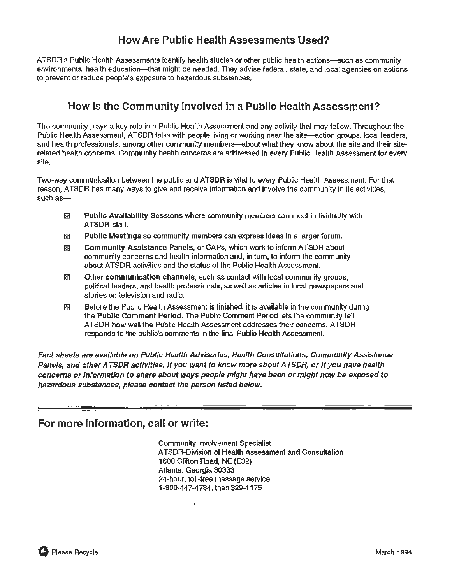## **How Are Public Health Assessments Used?**

ATSDR's Public Health Assessments identify health studies or other public health actions-such as community environmental health education-that might be needed. They advise federal, state, and local agencies on actions to prevent or reduce people's exposure to hazardous substances.

## **How Is the Community Involved in a Public Health Assessment?**

The community plays a key role in a Public Health Assessment and any activity that may follow. Throughout the Public Health Assessment, ATSDR talks with people living or working near the site-action groups, local leaders, and health professionals, among other community members—about what they know about the site and their siterelated health concerns. Community health concerns are addressed in every Public Health Assessment for every site.

Two-way communication between the public and ATSDR is vital to every Public Health Assessment. For that reason, ATSDR has many ways to give and receive information and involve the community in its activities,  $such as-$ 

- **EXECUTE:** Public Availability Sessions where community members can meet individually with ATSDR staff.
- $1\$  Public Meetings so community members can express ideas in a larger forum.
- 1m Community Assistance Panels, or CAPs, which work to inform ATSDR about community concerns and health information and, in turn, to inform the community about ATSDR activities and the status of the Public Health Assessment.
- $100$  Other communication channels, such as contact with local community groups, political leaders, and health professionals, as well as articles in local newspapers and stories on television and radio.
- $\boxtimes$  Before the Public Health Assessment is finished, it is available in the community during the Public Comment Period. The Public Comment Period lets the community tell ATSDR how well the Public Health Assessment addresses their concerns. ATSDR responds to the public's comments in the final Public Health Assessment.

Fact sheets are available on Public Health Advisories, Health Consultations, Community Assistance Panels, and other A TSDR activities. If you want to know more about A TSDR, or if you have health concerns or information to share about ways people might have been or might now be exposed to hazardous substances, please contact the person listed below.

## **For more information, call or write:**

Community Involvement Specialist ATSDR-Division of HeaHh Assessment and Consultation 1600 Clifton Road, NE (E32) Atlanta, Georgia 30333 24-hour, toll-free message service 1-800-447-4784, then 329-1175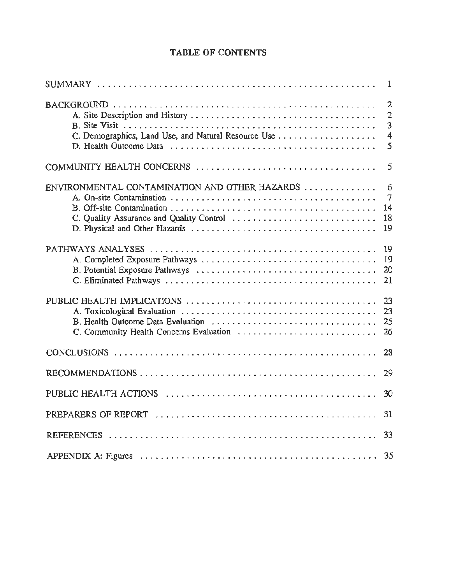## TABLE OF CONTENTS

|                                                                                           | $\mathbf{1}$                                                          |
|-------------------------------------------------------------------------------------------|-----------------------------------------------------------------------|
| C. Demographics, Land Use, and Natural Resource Use                                       | $\overline{2}$<br>$\overline{2}$<br>3<br>$\overline{\mathbf{4}}$<br>5 |
|                                                                                           | 5                                                                     |
| ENVIRONMENTAL CONTAMINATION AND OTHER HAZARDS<br>C. Quality Assurance and Quality Control | 6<br>7<br>14<br>18<br>19                                              |
|                                                                                           | 19<br>19<br>20<br>21                                                  |
| C. Community Health Concerns Evaluation                                                   | 23<br>23<br>25<br>26                                                  |
|                                                                                           | 28                                                                    |
|                                                                                           | 29                                                                    |
|                                                                                           | 30                                                                    |
|                                                                                           | 31                                                                    |
|                                                                                           | 33                                                                    |
|                                                                                           | 35                                                                    |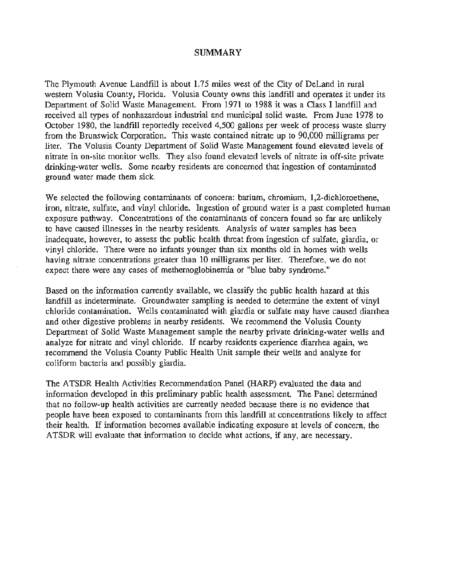#### **SUMMARY**

The Plymouth Avenue Landfill is about 1.75 miles west of the City of DeLand in rural western Volusia County, Florida. Volusia County owns this landfill and operates it under its Department of Solid Waste Management. From 1971 to 1988 it was a Class I landfill and received all types of nonhazardous industrial and municipal solid waste. From June 1978 to October 1980, the landfill reportedly received 4,500 gallons per week of process waste slurry from the Brunswick Corporation. This waste contained nitrate up to 90,000 milligrams per liter. The Volusia County Department of Solid Waste Management found elevated levels of nitrate in on-site monitor wells. They also found elevated levels of nitrate in off-site private drinking-water wells. Some nearby residents are concerned that ingestion of contaminated ground water made them sick.

We selected the following contaminants of concern: barium, chromium, 1,2-dichloroethene, iron, nitrate, sulfate, and vinyl chloride. Ingestion of ground water is a past completed human exposure pathway. Concentrations of the contaminants of concern found so far are unlikely to have caused illnesses in the nearby residents. Analysis of water samples has been inadequate, however, to assess the public health threat from ingestion of sulfate, giardia, or vinyl chloride. There were no infants younger than six months old in homes with wells having nitrate concentrations greater than 10 milligrams per liter. Therefore, we do not expect there were any cases of methemoglobinemia or "blue baby syndrome."

Based on the information currently available, we classify the public health hazard at this landfill as indeterminate. Groundwater sampling is needed to determine the extent of vinyl chloride contamination. Wells contaminated with giardia or sulfate may have caused diarrhea and other digestive problems in nearby residents. We recommend the Volusia County Department of Solid Waste Management sample the nearby private drinking-water wells and analyze for nitrate and vinyl chloride. If nearby residents experience diarrhea again, we recommend the Volusia County Public Health Unit sample their wells and analyze for coliform bacteria and possibly giardia.

The A TSDR Health Activities Recommendation Panel (HARP) evaluated the data and information developed in this preliminary public health assessment. The Panel determined that no follow-up health activities are currently needed because there is no evidence that people have been exposed to contaminants from this landfill at concentrations likely to affect their health. If information becomes available indicating exposure at levels of concern, the ATSDR will evaluate that information to decide what actions, if any, are necessary.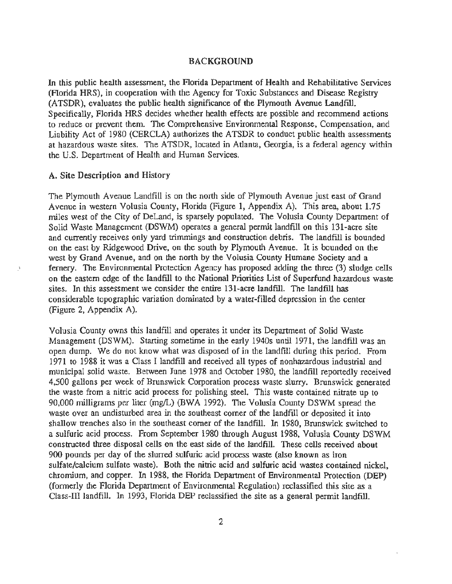#### BACKGROUND

In this public health assessment, the Florida Department of Health and Rehabilitative Services (Florida HRS), in cooperation with the Agency for Toxic Substances and Disease Registry (ATSDR), evaluates the public health significance of the Plymouth Avenue Landfill. Specifically, Florida HRS decides whether health effects are possible and recommend actions to reduce or prevent them. The Comprehensive Environmental Response, Compensation, and Liability Act of 1980 (CERCLA) authorizes the ATSDR to conduct public health assessments at hazardous waste sites. The ATSDR, located in Atlanta, Georgia, is a federal agency within the U.S. Department of Health and Human Services.

#### A. Site Description and History

The Plymouth Avenue Landfill is on the north side of Plymouth Avenue just east of Grand Avenue in western Volusia County, Florida (Figure 1, Appendix A). This area, about 1.75 miles west of the City of DeLand, is sparsely populated. The Volusia County Department of Solid Waste Management (DSWM) operates a general permit landfill on this 131-acre site and currently receives only yard trimmings and construction debris. The landfill is bounded on the east by Ridgewood Drive, on the south by Plymouth Avenue. It is bounded on the west by Grand Avenue, and on the north by the Volusia County Humane Society and a .' fernery. The Environmental Protection Agency has proposed adding the three (3) sludge cells on the eastern edge of the landfill to the National Priorities List of Superfund hazardous waste sites. In this assessment we consider the entire 131-acre landfill. The landfill has considerable topographic variation dominated by a water-filled depression in the center (Figure 2, Appendix A).

Volusia County owns this landfill and operates it under its Department of Solid Waste Management (DSWM). Starting sometime in the early 1940s until 1971, the landfill was an open dump. We do not know what was disposed of in the landfill during this period. From 1971 to 1988 it was a Class I landfill and received all types of nonhazardous industrial and municipal solid waste. Between June 1978 and October 1980, the landfill reportedly received 4,500 gallons per week of Brunswick Corporation process waste slurry. Brunswick generated the waste from a nitric acid process for polishing steel. This waste contained nitrate up to 90,000 milligrams per liter (mg/L) (BWA 1992). The Volusia County DSWM spread the waste over an undisturbed area in the southeast corner of the landfill or deposited it into shallow trenches also in the southeast corner of the landfill. In 1980, Brunswick switched to a sulfuric acid process. From September 1980 through August 1988, Volusia County DSWM constructed three disposal cells on the east side of the landfill. These cells received about 900 pounds per day of the slurred sulfuric acid process waste (also known as iron sulfate/calcium sulfate waste). Both the nitric acid and sulfuric acid wastes contained nickel, chromium, and copper. In 1988, the Florida Department of Environmental Protection (DEP) (formerly the Florida Department of Environmental Regulation) reclassified this site as a Class-III landfill. In 1993, Florida DEP reclassified the site as a general permit landfill.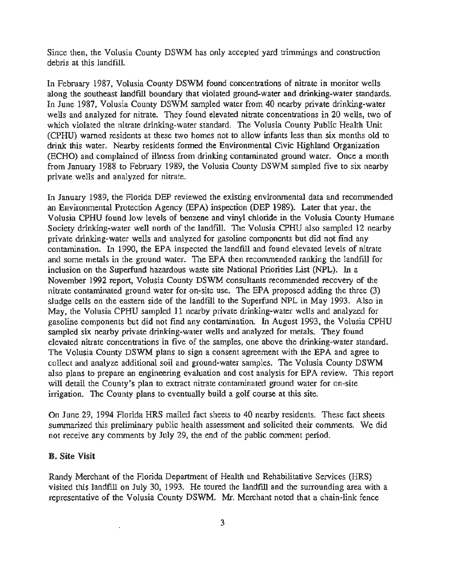Since then, the Volusia County DSWM has only accepted yard trimmings and construction debris at this landfill.

In February 1987, Volusia County DSWM found concentrations of nitrate in monitor wells along the southeast landfill boundary that violated ground-water and drinking-water standards. In June 1987, Volusia County DSWM sampled water from 40 nearby private drinking-water wells and analyzed for nitrate. They found elevated nitrate concentrations in 20 wells, two of which violated the nitrate drinking-water standard. The Volusia County Public Health Unit (CPHU) warned residents at these two homes not to allow infants less than six months old to drink this water. Nearby residents formed the Environmental Civic Highland Organization (ECHO) and complained of illness from drinking contaminated ground water. Once a month from January 1988 to February 1989, the Volusia County DSWM sampled five to six nearby private wells and analyzed for nitrate.

In January 1989, the Florida DEP reviewed the existing environmental data and recommended an Environmental Protection Agency (EPA) inspection (DEP 1989). Later that year, the Volusia CPHU found low levels of benzene and vinyl chloride in the Volusia County Humane Society drinking-water well north of the landfill. The Volusia CPHU also sampled 12 nearby private drinking-water wells and analyzed for gasoline components but did not find any contamination. In 1990, the EPA inspected the landfill and found elevated levels of nitrate and some metals in the ground water. The EPA then recommended ranking the landfill for inclusion on the Superfund hazardous waste site National Priorities List (NPL). In a November 1992 report, Volusia County DSWM consultants recommended recovery of the nitrate contaminated ground water for on-site use. The EPA proposed adding the three (3) sludge cells on the eastern side of the landfill to the Superfund NPL in May 1993. Also in May, the Volusia CPHU sampled 11 nearby private drinking-water wells and analyzed for gasoline components but did not fmd any contamination. In August 1993, the Volusia CPHU sampled six nearby private drinking-water wells and analyzed for metals. They found elevated nitrate concentrations in five of the samples, one above the drinking-water standard. The Volusia County DSWM plans to sign a consent agreement with the EPA and agree to collect and analyze additional soil and ground-water samples. The Volusia County DSWM also plans to prepare an engineering evaluation and cost analysis for EPA review. This report will detail the County's plan to extract nitrate contaminated ground water for on-site irrigation. The County plans to eventually build a golf course at this site.

On June 29, 1994 Florida HRS mailed fact sheets to 40 nearby residents. These fact sheets summarized this preliminary public health assessment and solicited their comments. We did not receive any comments by July 29, the end of the public comment period.

#### B. Site Visit

Randy Merchant of the Florida Department of Health and Rehabilitative Services (HRS) visited this landfill on July 30, 1993. He toured the landfill and the surrounding area with a representative of the Volusia County DSWM. Mr. Merchant noted that a chain-link fence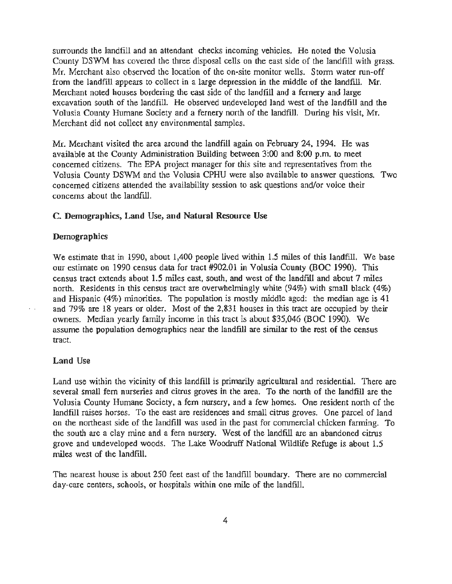surrounds the landfill and an attendant checks incoming vehicles. He noted the Volusia County DSWM has covered the three disposal cells on the east side of the landfill with grass. Mr. Merchant also observed the location of the on-site monitor wells. Storm water run-off from the landfill appears to collect in a large depression in the middle of the landfill. Mr. Merchant noted houses bordering the east side of the landfill and a fernery and large excavation south of the landfill. He observed undeveloped land west of the landfill and the Volusia County Humane Society and a fernery north of the landfill. During his visit, Mr. Merchant did not collect any environmental samples.

Mr. Merchant visited the area around the landfill again on February 24, 1994. He was available at the County Administration Building between  $3:00$  and  $8:00$  p.m. to meet concerned citizens. The EPA project manager for this site and representatives from the Volusia County DSWM and the Volusia CPHU were also available to answer questions. Two concerned citizens attended the availability session to ask questions and/or voice their concerns about the landfill.

#### C. Demographics, Land Use, and Natural Resource Use

#### **Demographics**

We estimate that in 1990, about 1,400 people lived within 1.5 miles of this landfill. We base our estimate on 1990 census data for tract #902.01 in Volusia County (BOC 1990). This census tract extends about 1.5 miles east, south, and west of the landfill and about 7 miles north. Residents in this census tract are overwhelmingly white (94%) with small black (4%) and Hispanic (4%) minorities. The population is mostly middle aged: the median age is 41 and 79% are 18 years or older. Most of the 2,831 houses in this tract are occupied by their owners. Median yearly family income in this tract is about \$35,046 (BOC 1990). We assume the population demographics near the landfill are similar to the rest of the census tract.

#### Land Use

Land use within the vicinity of this landfill is primarily agricultural and residential. There are several small fern nurseries and citrus groves in the area. To the north of the landfill are the Volusia County Humane Society, a fern nursery, and a few homes. One resident north of the landfill raises horses. To the east are residences and small citrus groves. One parcel of land on the northeast side of the landfill was used in the past for commercial chicken farming. To the south are a clay mine and a fern nursery. West of the landfill are an abandoned citrus grove and undeveloped woods. The Lake Woodruff National Wildlife Refuge is about 1.5 miles west of the landfill.

The nearest house is about 250 feet east of the landfill boundary. There are no commercial day-care centers, schools, or hospitals within one mile of the landfill.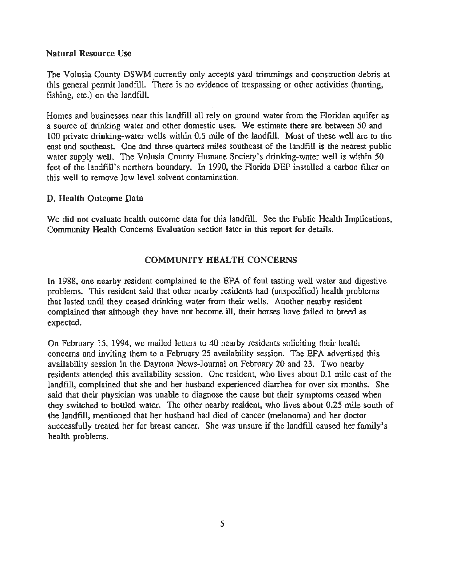#### Natural Resource Use

The Volusia County DSWM currently only accepts yard trimmings and construction debris at this general permit landfill. There is no evidence of trespassing or other activities (hunting, fishing, etc.) on the landfill.

Homes and businesses near this landfill all rely on ground water from the Floridan aquifer as a source of drinking water and other domestic uses. We estimate there are between 50 and 100 private drinking-water wells within 0.5 mile of the landfill. Most of these well are to the east and southeast. One and three-quarters miles southeast of the landfill is the nearest public water supply well. The Volusia County Humane Society's drinking-water well is within 50 feet of the landfill's northern boundary. In 1990, the Florida DEP installed a carbon filter on this well to remove low level solvent contamination.

#### D. Health Outcome Data

We did not evaluate health outcome data for this landfill. See the Public Health Implications, Community Health Concerns Evaluation section later in this report for details.

#### COMMUNITY HEALTH CONCERNS

In 1988, one nearby resident complained to the EPA of foul tasting well water and digestive problems. This resident said that other nearby residents had (unspecified) health problems that lasted until they ceased drinking water from their wells. Another nearby resident complained that although they have not become ill, their horses have failed to breed as expected.

On February 15, 1994, we mailed letters to 40 nearby residents soliciting their health concerns and inviting them to a February 25 availability session. The EPA advertised this availability session in the Daytona News-Journal on February 20 and 23. Two nearby residents attended this availability session. One resident, who lives about 0.1 mile east of the landfill, complained that she and her husband experienced diarrhea for over six months. She said that their physician was unable to diagnose the cause but their symptoms ceased when they switched to bottled water. The other nearby resident, who lives about 0.25 mile south of the landfill, mentioned that her husband had died of cancer (melanoma) and her doctor successfully treated her for breast cancer. She was unsure if the landfill caused her family's health problems.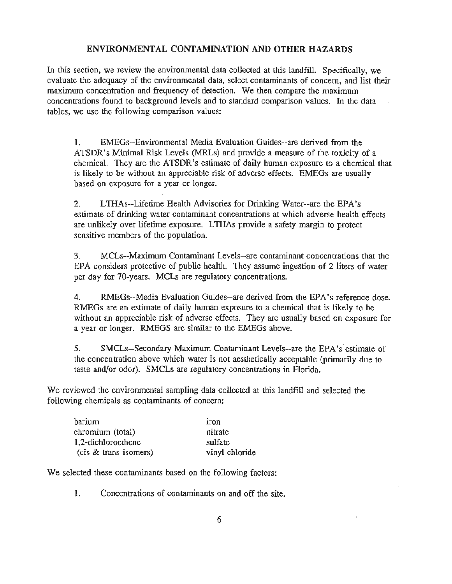#### **ENVIRONMENTAL CONTAMINATION AND OTHER HAZARDS**

In this section, we review the environmental data collected at this landfill. Specifically, we evaluate the adequacy of the environmental data, select contaminants of concern, and list their maximum concentration and frequency of detection. We then compare the maximum concentrations found to background levels and to standard comparison values. In the data tables, we use the following comparison values:

1. EMEGs--Environmental Media Evaluation Guides--are derived from the ATSDR's Minimal Risk Levels (MRLs) and provide a measure of the toxicity of a chemical. They are the ATSDR's estimate of daily human exposure to a chemical that is likely to be without an appreciable risk of adverse effects. EMEGs are usually based on exposure for a year or longer.

2. LTIIAs--Lifetime Health Advisories for Drinking Water--are the EPA's estimate of drinking water contaminant concentrations at which adverse health effects are unlikely over lifetime exposure. **L** THAs provide a safety margin to protect sensitive members of the population.

3. MCLs--Maximum Contaminant Levels--are contaminant concentrations that the EPA considers protective of public health. They assume ingestion of 2 liters of water per day for 70-years. MCLs are regulatory concentrations.

4. RMEGs--Media Evaluation Guides--are derived from the EPA's reference dose. RMEGs are an estimate of daily human exposure to a chemical that is likely to be without an appreciable risk of adverse effects. They are usually based on exposure for a year or longer. RMEGS are similar to the EMEGs above.

5. SMCLs--Secondary Maximum Contaminant Levels--are the EPA's estimate of the concentration above which water is not aesthetically acceptable (primarily due to taste and/or odor). SMCLs are regulatory concentrations in Florida.

We reviewed the environmental sampling data collected at this landfill and selected the following chemicals as contaminants of concern:

| barium                | iron           |
|-----------------------|----------------|
| chromium (total)      | nitrate        |
| 1,2-dichloroethene    | sulfate        |
| (cis & trans isomers) | vinyl chloride |

We selected these contaminants based on the following factors:

1. Concentrations of contaminants on and off the site.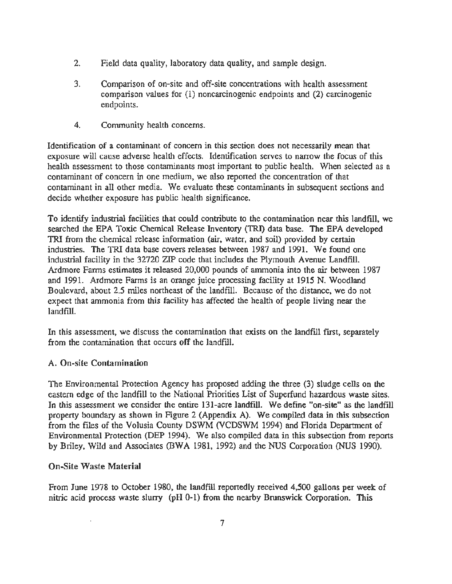- 2. Field data quality, laboratory data quality, and sample design.
- 3. Comparison of on-site and off-site concentrations with health assessment comparison values for (1) noncarcinogenic endpoints and (2) carcinogenic endpoints.
- 4. Community health concerns.

Identification of a contaminant of concern in this section does not necessarily mean that exposure will cause adverse health effects. Identification serves to narrow the focus of this health assessment to those contaminants most important to public health. When selected as a contaminant of concern in one medium, we also reported the concentration of that contaminant in all other media. We evaluate these contaminants in subsequent sections and decide whether exposure has public health significance.

To identify industrial facilities that could contribute to the contamination near this landfill, we searched the EPA Toxic Chemical Release Inventory (TRI) data base. The EPA developed TRI from the chemical release information (air, water, and soil) provided by certain industries. The TRI data base covers releases between 1987 and 1991. We found one industrial facility in the 32720 ZIP code that includes the Plymouth Avenue Landfill. Ardmore Farms estimates it released 20,000 pounds of ammonia into the air between 1987 and 1991. Ardmore Farms is an orange juice processing facility at 1915 N. Woodland Boulevard, about 2.5 miles northeast of the landfill. Because of the distance, we do not expect that ammonia from this facility has affected the health of people living near the landfill.

In this assessment, we discuss the contamination that exists on the landfill first, separately from the contamination that occurs off the landfill.

#### A. On-site Contamination

The Environmental Protection Agency has proposed adding the three (3) sludge cells on the eastern edge of the landfill to the National Priorities List of Superfund hazardous waste sites. In this assessment we consider the entire 131-acre landfill. We define "on-site" as the landfill property boundary as shown in Figure 2 (Appendix A). We compiled data in this subsection from the files of the Volusia County DSWM (VCDSWM 1994) and Florida Department of Environmental Protection (DEP 1994). We also compiled data in this subsection from reports by Briley, Wild and Associates (BWA 1981, 1992) and the NUS Corporation (NUS 1990).

#### On-Site Waste Material

From June 1978 to October 1980, the landfill reportedly received 4,500 gallons per week of nitric acid process waste slurry (pH 0-1) from the nearby Brunswick Corporation. This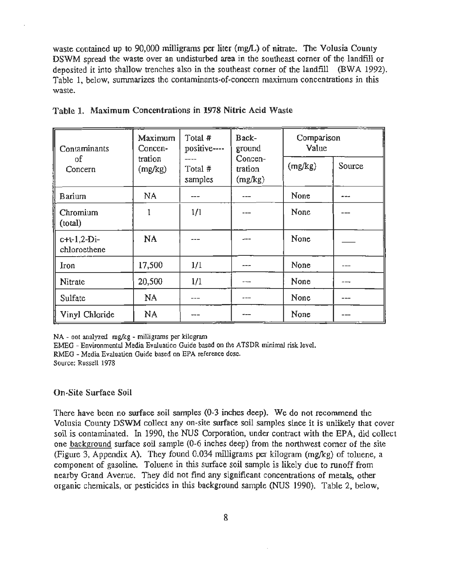waste contained up to 90,000 milligrams per liter (mg/L) of nitrate. The Volusia County DSWM spread the waste over an undisturbed area in the southeast corner of the landfill or deposited it into shallow trenches also in the southeast corner of the landfill (BWA 1992). Table 1, below, summarizes the contaminants-of-concern maximum concentrations in this waste.

| Contaminants                  | Total #<br>Maximum<br>positive----<br>Concen- |                    | Back-<br>ground               | Comparison<br>Value |        |  |
|-------------------------------|-----------------------------------------------|--------------------|-------------------------------|---------------------|--------|--|
| οf<br>Concern                 | tration<br>(mg/kg)                            | Total #<br>samples | Concen-<br>tration<br>(mg/kg) | (mg/kg)             | Source |  |
| Barium                        | NA                                            | ---                |                               | None                | ---    |  |
| Chromium<br>(total)           |                                               | 1/1                |                               | None                |        |  |
| $c+t-1,2-Di-$<br>chloroethene | NA                                            |                    |                               | None                |        |  |
| Iron                          | 17,500                                        | 1/1                | $--- -$                       | None                | ---    |  |
| Nitrate                       | 20,500                                        | 1/1                | ---                           | None                |        |  |
| Sulfate                       | NA                                            | ---                | ---                           | None                | ---    |  |
| Vinyl Chloride                | NA                                            |                    |                               | None                |        |  |

| Table 1. Maximum Concentrations in 1978 Nitric Acid Waste |  |  |  |  |
|-----------------------------------------------------------|--|--|--|--|
|-----------------------------------------------------------|--|--|--|--|

NA - not analyzed mg/kg - milligrams per kilogram

EMEG - Environmental Media Evaluation Guide based on the ATSDR minimal risk level.

RMEG. Media Evaluation Guide based on EPA reference dose.

Source: Russell 1978

#### On-Site Surface Soil

There have been no surface soil samples (0-3 inches deep). We do not recommend the Volusia County DSWM collect any on-site surface soil samples since it is unlikely that cover soil is contaminated. In 1990, the NUS Corporation, under contract with the EPA, did collect one background surface soil sample (0-6 inches deep) from the northwest corner of the site (Figure 3, Appendix A). They found 0.034 milligrams per kilogram (mg/kg) of toluene, a component of gasoline. Toluene in this surface soil sample is likely due to runoff from nearby Grand Avenue. They did not find any significant concentrations of metals, other organic chemicals, or pesticides in this background sample (NUS 1990). Table 2, below,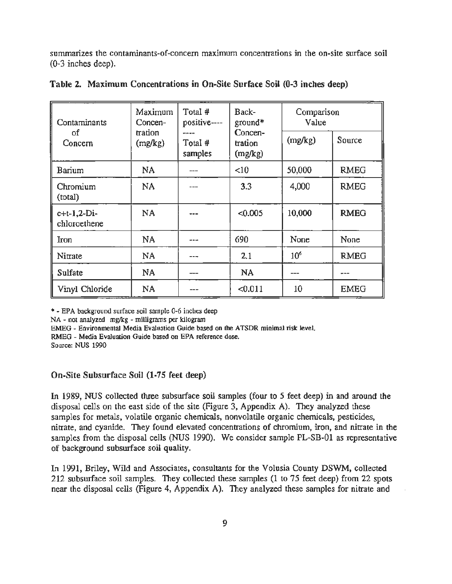summarizes the contaminants-of-concern maximum concentrations in the on-site surface soil (0-3 inches deep).

| Contaminants                  | Total #<br>Maximum<br>positive----<br>Concen- |                            | Back-<br>$ground*$            | Comparison<br>Value |             |  |
|-------------------------------|-----------------------------------------------|----------------------------|-------------------------------|---------------------|-------------|--|
| οf<br>Concern                 | tration<br>(mg/kg)                            | ----<br>Total #<br>samples | Concen-<br>tration<br>(mg/kg) | (mg/kg)             | Source      |  |
| Barium                        | NA                                            |                            | <10                           | 50,000              | <b>RMEG</b> |  |
| Chromium<br>(total)           | <b>NA</b>                                     |                            | 3.3                           | 4,000               | <b>RMEG</b> |  |
| $c+t-1,2-Di-$<br>chloroethene | <b>NA</b>                                     |                            | < 0.005                       | 10,000              | <b>RMEG</b> |  |
| Iron                          | NA                                            |                            | 690                           | None                | None        |  |
| Nitrate                       | NA                                            | ---                        | 2.1                           | 10 <sup>6</sup>     | <b>RMEG</b> |  |
| <b>Sulfate</b>                | NA                                            |                            | <b>NA</b>                     |                     |             |  |
| Vinyl Chloride                | NA                                            |                            | < 0.011                       | 10                  | <b>EMEG</b> |  |

|  |  | Table 2. Maximum Concentrations in On-Site Surface Soil (0-3 inches deep) |  |  |  |  |  |  |  |  |
|--|--|---------------------------------------------------------------------------|--|--|--|--|--|--|--|--|
|--|--|---------------------------------------------------------------------------|--|--|--|--|--|--|--|--|

\*-EPA background surface soil sample 0-6 inches deep

NA - not analyzed mg/kg - milligrams per kilogram

EMEG - Environmental Media Evaluation Guide based on the ATSDR minimal risk level.

RMEG- Media Evaluation Guide based on EPA reference dose.

Source: NUS 1990

On-Site Subsurface Soil (1-75 feet deep)

In 1989, NUS collected three subsurface soil samples (four to 5 feet deep) in and around the disposal cells on the east side of the site (Figure 3, Appendix A). They analyzed these samples for metals, volatile organic chemicals, nonvolatile organic chemicals. pesticides, nitrate, and cyanide. They found elevated concentrations of chromium, iron, and nitrate in the samples from the disposal cells (NUS 1990). We consider sample PL-SB-01 as representative of background subsurface soil quality.

In 1991, Briley, Wild and Associates, consultants for the Volusia County DSWM. collected 212 subsurface soil samples. They collected these samples (1 to 75 feet deep) from 22 spots near the disposal cells (Figure 4, Appendix A). They analyzed these samples for nitrate and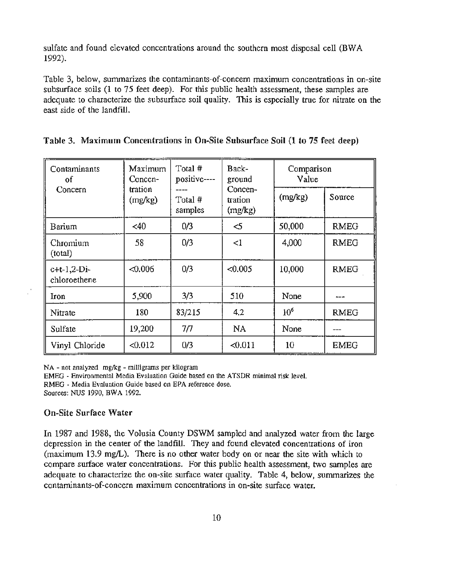sulfate and found elevated concentrations around the southern most disposal cell (BW A 1992).

Table 3, below, summarizes the contaminants-of-concern maximum concentrations in on-site subsurface soils (1 to 75 feet deep). For this public health assessment, these samples are adequate to characterize the subsurface soil quality. This is especially true for nitrate on the east side of the landfill.

| Contaminants<br>οf            | Maximum<br>Concen- | Total #<br>positive---- | Back-<br>ground               | Comparison<br>Value |             |
|-------------------------------|--------------------|-------------------------|-------------------------------|---------------------|-------------|
| Concern                       | tration<br>(mg/kg) | Total #<br>samples      | Concen-<br>tration<br>(mg/kg) | (mg/kg)             | Source      |
| Barium                        | <40                | 0/3                     | $<$ 5                         | 50,000              | <b>RMEG</b> |
| Chromium<br>(total)           | 58                 | 0/3                     | $\leq$ 1                      | 4,000               | <b>RMEG</b> |
| $c+t-1,2-Di-$<br>chloroethene | &0.006             | 0/3                     | < 0.005                       | 10,000              | <b>RMEG</b> |
| Iron                          | 5,900              | 3/3                     | 510                           | None                |             |
| Nitrate                       | 180                | 83/215                  | 4.2                           | $10^{6}$            | <b>RMEG</b> |
| Sulfate                       | 19,200             | 7/7                     | NA                            | None                |             |
| Vinyl Chloride                | < 0.012            | 0/3                     | < 0.011                       | 10                  | <b>EMEG</b> |

|  |  | Table 3. Maximum Concentrations in On-Site Subsurface Soil (1 to 75 feet deep) |  |  |  |  |  |  |  |  |  |  |
|--|--|--------------------------------------------------------------------------------|--|--|--|--|--|--|--|--|--|--|
|--|--|--------------------------------------------------------------------------------|--|--|--|--|--|--|--|--|--|--|

NA - not analyzed mg/kg - milligrams per kilogram

EMEG - Environmental Media Evaluation Guide based on the ATSDR minimal risk level.

RMEG - Media Evaluation Guide based on EPA reference dose.

Sources: NUS 1990, BWA 1992.

#### On-Site Surface Water

In 1987 and 1988, the Volusia County DSWM sampled and analyzed water from the large depression in the center of the landfill. They and found elevated concentrations of iron  $(\text{maximum } 13.9 \text{ mg/L})$ . There is no other water body on or near the site with which to compare surface water concentrations. For this public health assessment, two samples are adequate to characterize the on-site surface water quality. Table 4, below, summarizes the contaminants-of-concern maximum concentrations in on-site surface water.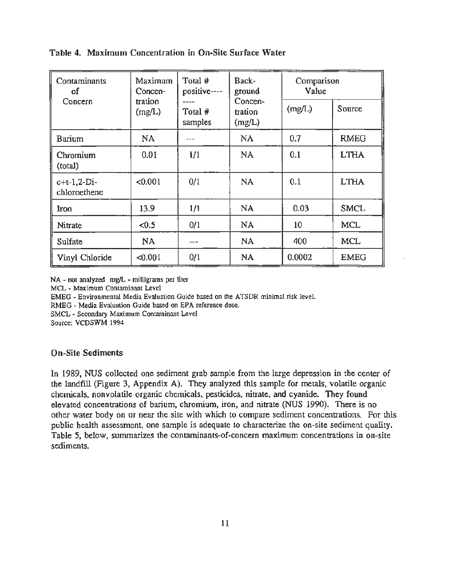| Contaminants<br>of             | Total #<br>Maximum<br>positive----<br>Concen- |                            | Back-<br>ground              | Comparison<br>Value |             |  |
|--------------------------------|-----------------------------------------------|----------------------------|------------------------------|---------------------|-------------|--|
| Concern                        | tration<br>(mg/L)                             | ----<br>Total #<br>samples | Concen-<br>tration<br>(mg/L) | (mg/L)              | Source      |  |
| Barium                         | <b>NA</b>                                     | ---                        | NA                           | 0.7                 | <b>RMEG</b> |  |
| Chromium<br>(total)            | 0.01                                          | 1/1                        | NA                           | 0.1                 | <b>LTHA</b> |  |
| $c+t-1, 2-Di-$<br>chloroethene | < 0.001                                       | 0/1                        | NA                           | 0.1                 | <b>LTHA</b> |  |
| Iron                           | 13.9                                          | 1/1                        | <b>NA</b>                    | 0.03                | <b>SMCL</b> |  |
| Nitrate                        | < 0.5                                         | 0/1                        | <b>NA</b>                    | 10                  | <b>MCL</b>  |  |
| Sulfate                        | <b>NA</b>                                     | ---                        | <b>NA</b>                    | 400                 | <b>MCL</b>  |  |
| Vinyl Chloride                 | < 0.001                                       | 0/1                        | <b>NA</b>                    | 0.0002              | <b>EMEG</b> |  |

#### Table 4. Maximum Concentration in On-Site Surface Water

NA - not analyzed mg/L - milligrams per liter

MCL - Maximum Contaminant Level

EMEG - Environmental Media Evaluation Guide based on the ATSDR minimal risk level.

RMEG - Media Evaluation Guide based on EPA reference dose.

SMCL - Secondary Maximum Contaminant Level

Source: VCDSWM 1994

#### On-Site Sediments

In 1989, NUS collected one sediment grab sample from the large depression in the center of the landfill (Figure 3, Appendix A). They analyzed this sample for metals, volatile organic chemicals, nonvolatile organic chemicals, pesticides, nitrate, and cyanide. They found elevated concentrations of barium, chromium, iron, and nitrate (NUS 1990). There is no other water body on or near the site with which to compare sediment concentrations. For this public health assessment, one sample is adequate to characterize the on-site sediment quality. Table 5, below, summarizes the contaminants-of-concern maximum concentrations in on-site sediments.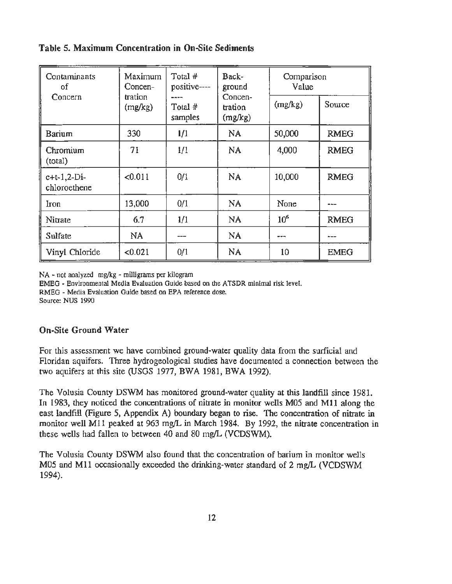## Table 5. Maximum Concentration in On-Site Sediments

| Contaminants<br>of            | Maximum<br>Concen- | Total #<br>positive---- | Back-<br>ground               | Value           | Comparison  |  |  |
|-------------------------------|--------------------|-------------------------|-------------------------------|-----------------|-------------|--|--|
| Concern                       | tration<br>(mg/kg) | Total #<br>samples      | Concen-<br>tration<br>(mg/kg) | (mg/kg)         | Source      |  |  |
| Barium                        | 330                | 1/1                     | NA                            | 50,000          | <b>RMEG</b> |  |  |
| Chromium<br>(total)           | 71                 | 1/1                     | NA                            | 4,000           | <b>RMEG</b> |  |  |
| $c+t-1,2-Di-$<br>chloroethene | < 0.011            | 0/1                     | <b>NA</b>                     | 10,000          | <b>RMEG</b> |  |  |
| Iron                          | 13,000             | 0/1                     | <b>NA</b>                     | None            |             |  |  |
| Nitrate                       | 6.7                | 1/1                     | NA                            | 10 <sup>6</sup> | <b>RMEG</b> |  |  |
| Sulfate                       | NA                 |                         | <b>NA</b>                     |                 |             |  |  |
| Vinyl Chloride                | < 0.021            | 0/1                     | <b>NA</b>                     | 10              | <b>EMEG</b> |  |  |

NA - not analyzed mg/kg - milligrams per kilogram

EMEG - Environmental Media Evaluation Guide based on the ATSDR minimal risk level.

RMEG - Media Evaluation Guide based on EPA reference dose.

Source: NUS 1990

## On-Site Ground Water

For this assessment we have combined ground-water quality data from the surficial and Floridan aquifers. Three hydrogeological studies have documented a connection between the two aquifers at this site (USGS 1977, BWA 1981, BWA 1992).

The Volusia County DSWM has monitored ground-water quality at this landfill since 1981. In 1983, they noticed the concentrations of nitrate in monitor wells M05 and Ml1 along the east landfill (Figure 5, Appendix A) boundary began to rise. The concentration of nitrate in monitor well M11 peaked at 963 mg/L in March 1984. By 1992, the nitrate concentration in these wells had fallen to between 40 and 80 mg/L (VCDSWM).

The Volusia County DSWM also found that the concentration of barium in monitor wells M05 and M11 occasionally exceeded the drinking-water standard of 2 mg/L (VCDSWM 1994).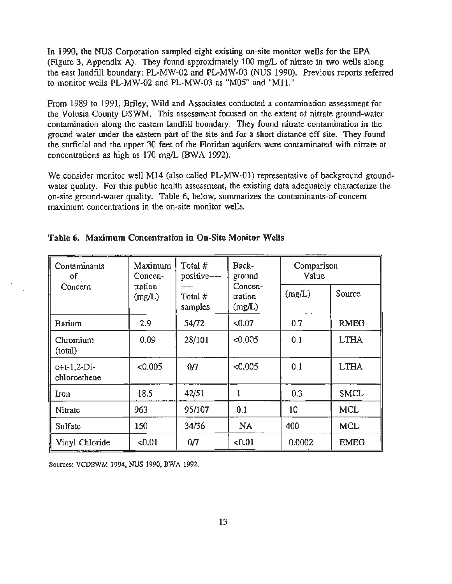In 1990, the NUS Corporation sampled eight existing on-site monitor wells for the EPA (Figure 3, Appendix A). They found approximately 100 mg/L of nitrate in two wells along the east landfill boundary: PL-MW-02 and PL-MW-03 (NUS 1990). Previous reports referred to monitor wells PL-MW-02 and PL-MW-03 as "M05" and "Mll."

From 1989 to 1991, Briley, Wild and Associates conducted a contamination assessment for the Volusia County DSWM. This assessment focused on the extent of nitrate ground-water contamination along the eastern landfill boundary. They found nitrate contamination in the ground water under the eastern part of the site and for a short distance off site. They found the surficial and the upper 30 feet of the Floridan aquifers were contaminated with nitrate at concentrations as high as 170 mg/L (BWA 1992).

We consider monitor well M14 (also called PL-MW-01) representative of background groundwater quality. For this public health assessment, the existing data adequately characterize the on-site ground-water quality. Table 6, below, summarizes the contaminants-of-concern maximum concentrations in the on-site monitor wells.

| Contaminants<br>οf            | Maximum<br>Total #<br>positive----<br>Concen- |                    | Back-<br>ground              | Comparison<br>Value |             |  |
|-------------------------------|-----------------------------------------------|--------------------|------------------------------|---------------------|-------------|--|
| Concern                       | tration<br>(mg/L)                             | Total #<br>samples | Concen-<br>tration<br>(mg/L) | (mg/L)              | Source      |  |
| Barium                        | 2.9                                           | 54/72              | <0.07                        | 0.7                 | <b>RMEG</b> |  |
| Chromium<br>(total)           | 0.09                                          | 28/101             | < 0.005                      | 0.1                 | <b>LTHA</b> |  |
| $c+t-1,2-Di-$<br>chloroethene | < 0.005                                       | 0 <sub>7</sub>     | < 0.005                      | 0.1                 | <b>LTHA</b> |  |
| Iron                          | 18.5                                          | 42/51              | 1                            | 0.3                 | <b>SMCL</b> |  |
| Nitrate                       | 963                                           | 95/107             | 0.1                          | 10                  | <b>MCL</b>  |  |
| Sulfate                       | 150                                           | 34/36              | <b>NA</b>                    | 400                 | <b>MCL</b>  |  |
| Vinyl Chloride                | < 0.01                                        | 0/7                | < 0.01                       | 0.0002              | <b>EMEG</b> |  |

|  |  | Table 6. Maximum Concentration in On-Site Monitor Wells |  |  |  |  |
|--|--|---------------------------------------------------------|--|--|--|--|
|--|--|---------------------------------------------------------|--|--|--|--|

Sources: VCDSWM 1994, NUS 1990, BWA 1992.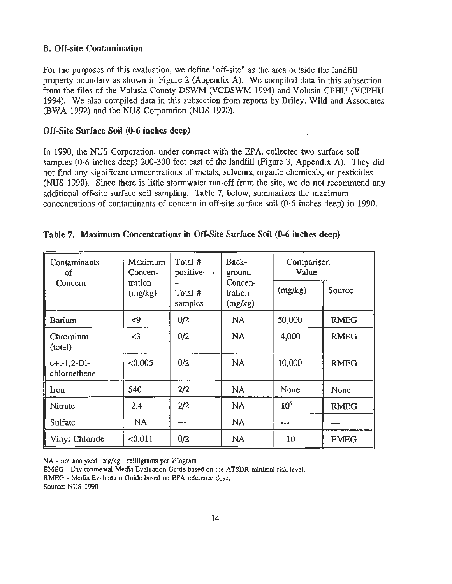#### B. Off-site Contamination

For the purposes of this evaluation, we define "off-site" as the area outside the landfill property boundary as shown in Figure 2 (Appendix A). We compiled data in this subsection from the files of the Volusia County DSWM (VCDSWM 1994) and Volusia CPHU (VCPHU 1994). We also compiled data in this subsection from reports by Briley, Wild and Associates (BWA 1992) and the NUS Corporation (NUS 1990).

#### Off-Site Surface Soil (0-6 inches deep)

In 1990, the NUS Corporation, under contract with the EPA, collected two surface soil samples (0-6 inches deep) 200-300 feet east of the landfill (Figure 3, Appendix A). They did not find any significant concentrations of metals, solvents, organic chemicals, or pesticides (NUS 1990). Since there is little stormwater run-off from the site, we do not recommend any additional off-site surface soil sampling. Table 7, below, summarizes the maximum concentrations of contaminants of concern in off-site surface soil (0-6 inches deep) in 1990.

| Contaminants<br>οf             | Maximum<br>Concen- | Total #<br>positive---- | Back-<br>ground               | Comparison<br>Value |             |
|--------------------------------|--------------------|-------------------------|-------------------------------|---------------------|-------------|
| Concern                        | tration<br>(mg/kg) | Total #<br>samples      | Concen-<br>tration<br>(mg/kg) | (mg/kg)             | Source      |
| Barium                         | $<$ 9              | 0/2                     | NA                            | 50,000              | <b>RMEG</b> |
| Chromium<br>(total)            | $3$                | 0/2                     | NA                            | 4,000               | <b>RMEG</b> |
| $c+t-1, 2-Di-$<br>chloroethene | < 0.005            | 0/2                     | NA                            | 10,000              | <b>RMEG</b> |
| Iron                           | 540                | 2/2                     | NA                            | None                | None        |
| Nitrate                        | 2.4                | 2/2                     | NA                            | 10 <sup>6</sup>     | <b>RMEG</b> |
| Sulfate                        | <b>NA</b>          |                         | <b>NA</b>                     |                     | ---         |
| Vinyl Chloride                 | < 0.011            | 0/2                     | NA                            | 10 <sup>1</sup>     | <b>EMEG</b> |

| Table 7. Maximum Concentrations in Off-Site Surface Soil (0-6 inches deep) |
|----------------------------------------------------------------------------|
|----------------------------------------------------------------------------|

NA - not analyzed mg/kg - milligrams per kilogram

EMEG - Environmental Media Evaluation Guide based on the ATSDR minimal risk level.

RMEG - Media Evaluation Guide based on EPA reference dose.

Source: NUS 1990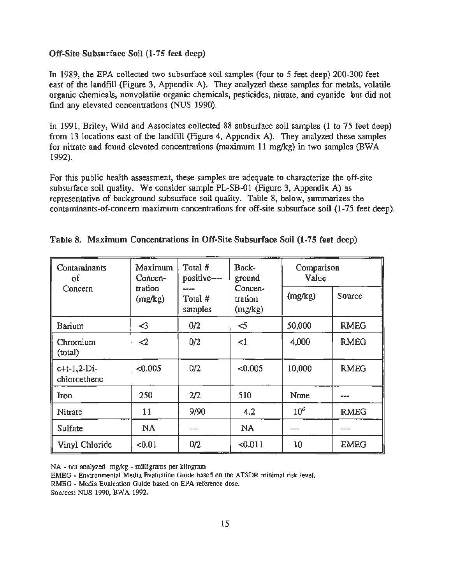#### Off-Site Subsurface Soil (1-75 feet deep)

In 1989, the EPA collected two subsurface soil samples (four to 5 feet deep) 200-300 feet east of the landfill (Figure 3, Appendix A). They analyzed these samples for metals, volatile organic chemicals, nonvolatile organic chemicals, pesticides, nitrate, and cyanide but did not find any elevated concentrations (NUS 1990).

In 1991, Briley, Wild and Associates collected 88 subsurface soil samples (1 to 75 feet deep) from 13 locations east of the landfill (Figure 4, Appendix A). They analyzed these samples for nitrate and found elevated concentrations (maximum 11 mg/kg) in two samples (BW A 1992).

For this public health assessment, these samples are adequate to characterize the off-site subsurface soil quality. We consider sample PL-SB-01 (Figure 3, Appendix A) as representative of background subsurface soil quality. Table 8, below, summarizes the contaminants-of-concern maximum concentrations for off-site subsurface soil (1-75 feet deep).

| Contaminants<br>οf            | Maximum<br>Concen- | Total #<br>positive---- | Back-<br>ground               | Comparison<br>Value |             |
|-------------------------------|--------------------|-------------------------|-------------------------------|---------------------|-------------|
| Concern                       | tration<br>(mg/kg) | Total #<br>samples      | Concen-<br>tration<br>(mg/kg) | (mg/kg)             | Source      |
| Barium                        | ⊲                  | 0/2                     | $\leq$                        | 50,000              | <b>RMEG</b> |
| Chromium<br>(total)           | $\mathcal{Q}$      | 0/2                     | <1                            | 4,000               | <b>RMEG</b> |
| $c+t-1,2-Di-$<br>chloroethene | < 0.005            | 0/2                     | < 0.005                       | 10,000              | <b>RMEG</b> |
| Iron                          | 250                | 2/2                     | 510                           | None                |             |
| Nitrate                       | 11                 | 9/90                    | 4.2                           | 10 <sup>6</sup>     | <b>RMEG</b> |
| Sulfate                       | <b>NA</b>          | ---                     | <b>NA</b>                     | ---                 | ---         |
| Vinyl Chloride                | < 0.01             | 0/2                     | $-0.011$                      | 10                  | <b>EMEG</b> |

|  |  | Table 8. Maximum Concentrations in Off-Site Subsurface Soil (1-75 feet deep) |  |  |  |  |  |  |  |  |
|--|--|------------------------------------------------------------------------------|--|--|--|--|--|--|--|--|
|--|--|------------------------------------------------------------------------------|--|--|--|--|--|--|--|--|

NA - not analyzed mg/kg - milligrams per kilogram

EMEG - Environmental Media Evaluation Guide based on the ATSDR minimal risk level.

RMEG- Media Evaluation Guide based on EPA reference dose.

Sources: NUS 1990, BWA 1992.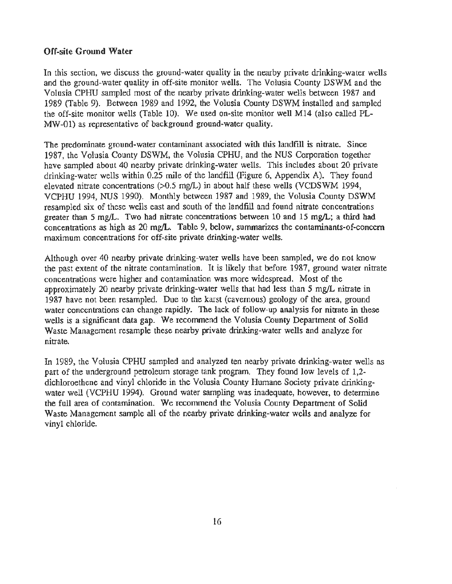#### Off-site Ground Water

In this section, we discuss the ground-water quality in the nearby private drinking-water wells and the ground-water quality in off-site monitor wells. The Volusia County DSWM and the Volusia CPHU sampled most of the nearby private drinking-water wells between 1987 and 1989 (Table 9). Between 1989 and 1992, the Volusia County DSWM installed and sampled the off-site monitor wells (Table 10). We used on-site monitor well M14 (also called PL-MW-01) as representative of background ground-water quality.

The predominate ground-water contaminant associated with this landfill is nitrate. Since 1987, the Volusia County DSWM, the Volusia CPHU, and the NUS Corporation together have sampled about 40 nearby private drinking-water wells. This includes about 20 private drinking-water wells within 0.25 mile of the landfill (Figure 6, Appendix A). They found elevated nitrate concentrations  $(0.5 \text{ mg/L})$  in about half these wells (VCDSWM 1994, VCPHU 1994, NUS 1990). Monthly between 1987 and 1989, the Volusia County DSWM resampled six of these wells east and south of the landfill and found nitrate concentrations greater than 5 mg/L. Two had nitrate concentrations between 10 and 15 mg/L; a third had concentrations as high as 20 mg/L. Table 9, below, summarizes the contaminants-of-concern maximum concentrations for off-site private drinking-water wells.

Although over 40 nearby private drinking-water wells have been sampled, we do not know the past extent of the nitrate contamination. It is likely that before 1987, ground water nitrate concentrations were higher and contamination was more widespread. Most of the approximately 20 nearby private drinking-water wells that had less than *5* mg/L nitrate in 1987 have not been resampled. Due to the karst (cavernous) geology of the area, ground water concentrations can change rapidly. The lack of follow-up analysis for nitrate in these wells is a significant data gap. We recommend the Volusia County Department of Solid Waste Management resample these nearby private drinking-water wells and analyze for nitrate.

In 1989, the Volusia CPHU sampled and analyzed ten nearby private drinking-water wells as part of the underground petroleum storage tank program. They found low levels of 1,2 dichloroethene and vinyl chloride in the Volusia County Humane Society private drinkingwater well (VCPHU 1994). Ground water sampling was inadequate, however, to determine the full area of contamination. We recommend the Volusia County Department of Solid Waste Management sample all of the nearby private drinking-water wells and analyze for vinyl chloride.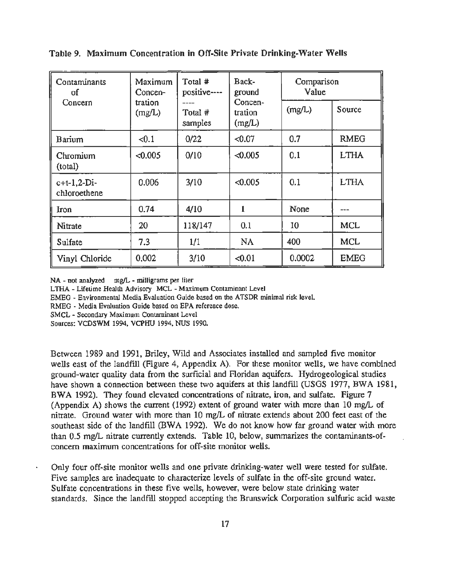| Contaminants<br>of            | Maximum<br>Concen- | Total #<br>positive---- | Back-<br>ground              | Comparison<br>Value |             |
|-------------------------------|--------------------|-------------------------|------------------------------|---------------------|-------------|
| Concern                       | tration<br>(mg/L)  | Total #<br>samples      | Concen-<br>tration<br>(mg/L) | (mg/L)              | Source      |
| Barium                        | < 0.1              | 0/22                    | < 0.07                       | 0.7                 | <b>RMEG</b> |
| Chromium<br>(total)           | < 0.005            | 0/10                    | < 0.005                      | 0.1                 | <b>LTHA</b> |
| $c+t-1,2-Di-$<br>chloroethene | 0.006              | 3/10                    | < 0.005                      | 0.1                 | <b>LTHA</b> |
| Iron                          | 0.74               | 4/10                    | 1                            | None                |             |
| Nitrate                       | 20                 | 118/147                 | 0.1                          | 10                  | MCL         |
| Sulfate                       | 7.3                | 1/1                     | NA                           | 400                 | <b>MCL</b>  |
| Vinyl Chloride                | 0.002              | 3/10                    | $-0.01$                      | 0.0002              | <b>EMEG</b> |

Table 9. Maximum Concentration in Off-Site Private Drinking-Water Wells

NA - not analyzed mg/L - milligrams per liter

LTHA- Lifetime Health Advisory MCL- Maximum Contaminant Level

EMEG - Environmental Media Evaluation Guide based on the ATSDR minimal risk level.

RMEG- Media Evaluation Guide based on EPA reference dose.

SMCL - Secondary Maximum Contaminant Level

Sources: VCDSWM 1994, VCPHU 1994, NUS 1990.

Between 1989 and 1991, Briley. Wild and Associates installed and sampled five monitor wells east of the landfill (Figure 4, Appendix A). For these monitor wells. we have combined ground-water quality data from the surficial and Floridan aquifers. Hydrogeological studies have shown a connection between these two aquifers at this landfill (USGS 1977, BWA 1981, BWA 1992). They found elevated concentrations of nitrate, iron. and sulfate. Figure 7 (Appendix A) shows the current (1992) extent of ground water with more than 10 mg/L of nitrate. Ground water with more than 10 mg/L of nitrate extends about 200 feet east of the southeast side of the landfill (BWA 1992). We do not know how far ground water with more than 0.5 mg/L nitrate currently extends. Table 10, below, summarizes the contaminants-ofconcern maximum concentrations for off-site monitor wells.

Only four off-site monitor wells and one private drinking-water well were tested for sulfate. Five samples are inadequate to characterize levels of sulfate in the off-site ground water. Sulfate concentrations in these five wells. however. were below state drinking water standards. Since the landfill stopped accepting the Brunswick Corporation sulfuric acid waste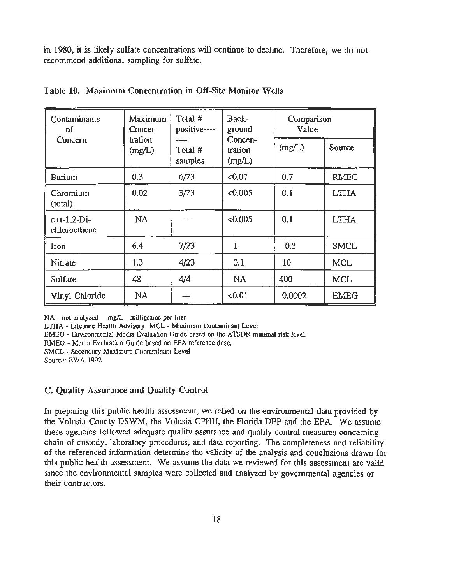in 1980, it is likely sulfate concentrations will continue to decline. Therefore, we do not recommend additional sampling for sulfate.

| Contaminants<br>οf            | Maximum<br>Concen- | Total #<br>positive---- | Back-<br>ground              | Comparison<br>Value |             |
|-------------------------------|--------------------|-------------------------|------------------------------|---------------------|-------------|
| Concern                       | tration<br>(mg/L)  | Total #<br>samples      | Concen-<br>tration<br>(mg/L) | (mg/L)              | Source      |
| Barium                        | 0.3                | 6/23                    | < 0.07                       | 0.7                 | <b>RMEG</b> |
| Chromium<br>(total)           | 0.02               | 3/23                    | < 0.005                      | 0.1                 | <b>LTHA</b> |
| $c+t-1,2-Di-$<br>chloroethene | <b>NA</b>          |                         | < 0.005                      | 0.1                 | <b>LTHA</b> |
| Iron                          | 6.4                | 7/23                    |                              | 0.3                 | <b>SMCL</b> |
| Nitrate                       | 1.3                | 4/23                    | 0.1                          | 10                  | <b>MCL</b>  |
| Sulfate                       | 48                 | 4/4                     | <b>NA</b>                    | 400                 | <b>MCL</b>  |
| Vinyl Chloride                | <b>NA</b>          | ---                     | < 0.01                       | 0.0002              | <b>EMEG</b> |

|  |  | Table 10. Maximum Concentration in Off-Site Monitor Wells |  |  |  |  |
|--|--|-----------------------------------------------------------|--|--|--|--|
|--|--|-----------------------------------------------------------|--|--|--|--|

NA - not analyzed mg/L - milligrams per liter

LTHA- Lifetime Health Advisory MCL - Maximum Contaminant Level

EMEG - Environmental Media Evaluation Guide based on the ATSDR minimal risk level.

RMEG - Media Evaluation Guide based on EPA reference dose.

SMCL - Secondary Maximum Contaminant Level

Source: BWA 1992

#### C. Quality Assurance and Quality Control

In preparing this public health assessment, we relied on the environmental data provided by the Volusia County DSWM, the Volusia CPHU, the Florida DEP and the EPA. We assume these agencies followed adequate quality assurance and quality control measures concerning chain-of-custody, laboratory procedures, and data reporting. The completeness and reliability of the referenced information determine the validity of the analysis and conclusions drawn for this public health assessment. We assume the data we reviewed for this assessment are valid since the environmental samples were collected and analyzed by governmental agencies or their contractors.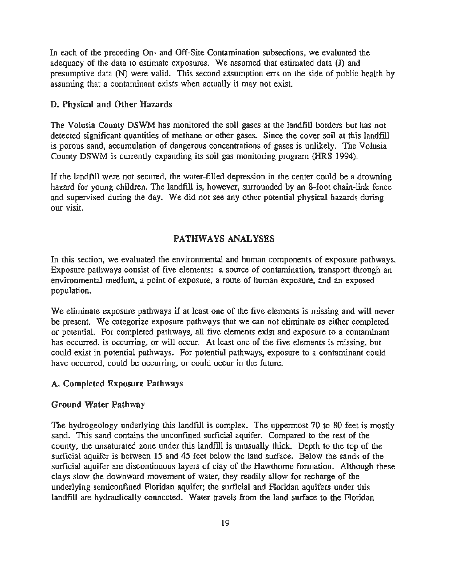In each of the preceding On- and Off-Site Contamination subsections, we evaluated the adequacy of the data to estimate exposures. We assumed that estimated data  $(J)$  and presumptive data (N) were valid. This second assumption errs on the side of public health by assuming that a contaminant exists when actually it may not exist.

#### D. Physical and Other Hazards

The Volusia County DSWM has monitored the soil gases at the landfill borders but has not detected significant quantities of methane or other gases. Since the cover soil at this landfill is porous sand, accumulation of dangerous concentrations of gases is unlikely. The Volusia County DSWM is currently expanding its soil gas monitoring program (HRS 1994).

If the landfill were not secured, the water-filled depression in the center could be a drowning hazard for young children. The landfill is, however, surrounded by an 8-foot chain-link fence and supervised during the day. We did not see any other potential physical hazards during our visit.

#### PATHWAYS ANALYSES

In this section, we evaluated the environmental and human components of exposure pathways. Exposure pathways consist of five elements: a source of contamination, transport through an environmental medium, a point of exposure, a route of human exposure, and an exposed population.

We eliminate exposure pathways if at least one of the five elements is missing and will never be present. We categorize exposure pathways that we can not eliminate as either completed or potential. For completed pathways, all five elements exist and exposure to a contaminant has occurred, is occurring, or will occur. At least one of the five elements is missing, but could exist in potential pathways. For potential pathways, exposure to a contaminant could have occurred, could be occurring, or could occur in the future.

#### A. Completed Exposure Pathways

#### Ground Water Pathway

The hydrogeology underlying this landfill is complex. The uppermost 70 to 80 feet is mostly sand. This sand contains the unconfined surficial aquifer. Compared to the rest of the county, the unsaturated zone under this landfill is unusually thick. Depth to the top of the surficial aquifer is between 15 and 45 feet below the land surface. Below the sands of the surficial aquifer are discontinuous layers of clay of the Hawthorne formation. Although these clays slow the downward movement of water, they readily allow for recharge of the underlying semiconfined Floridan aquifer; the surficial and Floridan aquifers under this landfill are hydraulically connected. Water travels from the land surface to the Floridan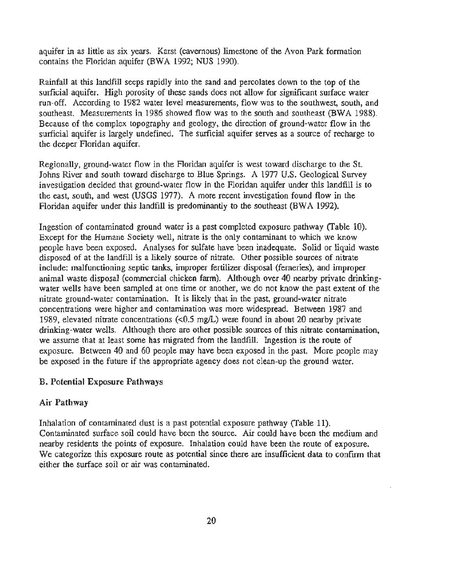aquifer in as little as six years. Karst (cavernous) limestone of the Avon Park formation contains the Floridan aquifer (BWA 1992; NUS 1990).

Rainfall at this landfill seeps rapidly into the sand and percolates down to the top of the surficial aquifer. High porosity of these sands does not allow for significant surface water run-off. According to 1982 water level measurements, flow was to the southwest, south, and southeast. Measurements in 1986 showed flow was to the south and southeast (BWA 1988). Because of the complex topography and geology, the direction of ground-water flow in the surficial aquifer is largely undefined. The surficial aquifer serves as a source of recharge to the deeper Floridan aquifer.

Regionally, ground-water flow in the Floridan aquifer is west toward discharge to the St. Johns River and south toward discharge to Blue Springs. A 1977 U.S. Geological Survey investigation decided that ground-water flow in the Floridan aquifer under this landfill is to the east, south, and west (USGS 1977). A more recent investigation found flow in the Floridan aquifer under this landfill is predominantly to the southeast (BWA 1992).

Ingestion of contaminated ground water is a past completed exposure pathway (Table 10). Except for the Humane Society well, nitrate is the only contaminant to which we know people have been exposed. Analyses for sulfate have been inadequate. Solid or liquid waste disposed of at the landfill is a likely source of nitrate. Other possible sources of nitrate include: malfunctioning septic tanks, improper fertilizer disposal (ferneries), and improper animal waste disposal (commercial chicken farm). Although over 40 nearby private drinkingwater wells have been sampled at one time or another, we do not know the past extent of the nitrate ground-water contamination. It is likely that in the past, ground-water nitrate concentrations were higher and contamination was more widespread. Between 1987 and 1989, elevated nitrate concentrations (<0.5 mg/L) were found in about 20 nearby private drinking-water wells. Although there are other possible sources of this nitrate contamination, we assume that at least some has migrated from the landfill. Ingestion is the route of exposure. Between 40 and 60 people may have been exposed in the past. More people may be exposed in the future if the appropriate agency does not clean-up the ground water.

#### B. Potential Exposure Pathways

#### Air Pathway

Inhalation of contaminated dust is a past potential exposure pathway (Table 11). Contaminated surface soil could have been the source. Air could have been the medium and nearby residents the points of exposure. Inhalation could have been the route of exposure. We categorize this exposure route as potential since there are insufficient data to confirm that either the surface soil or air was contaminated.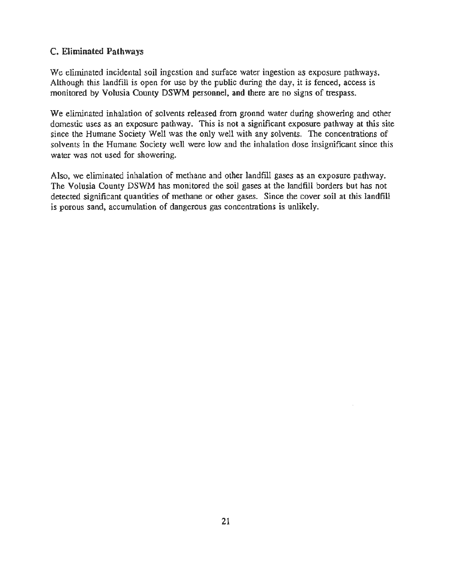#### C. Eliminated Pathways

We eliminated incidental soil ingestion and surface water ingestion as exposure pathways. Although this landfill is open for use by the public during the day, it is fenced, access is monitored by Volusia County DSWM personnel, and there are no signs of trespass.

We eliminated inhalation of solvents released from gronnd water during showering and other domestic uses as an exposure pathway. This is not a significant exposure pathway at this site since the Humane Society Well was the only well with any solvents. The concentrations of solvents in the Humane Society well were low and the inhalation dose insignificant since this water was not used for showering.

Also, we eliminated inhalation of methane and other landflll gases as an exposure pathway. The Volusia County DSWM has monitored the soil gases at the landfill borders but has not detected significant quantities of methane or other gases. Since the cover soil at this landfill is porous sand, accumulation of dangerous gas concentrations is unlikely.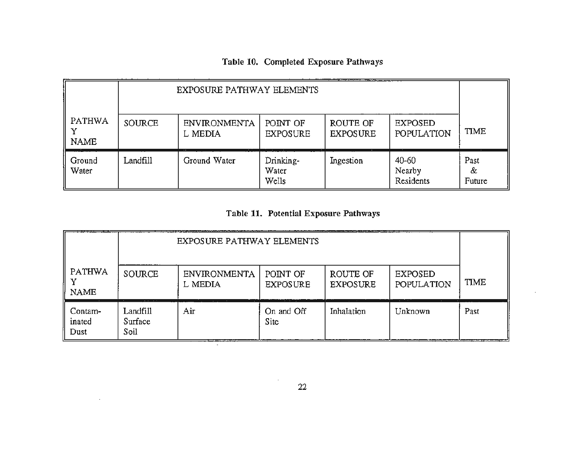## Table 10. Completed Exposure Pathways

|                              | EXPOSURE PATHWAY ELEMENTS |                                |                             |                             |                                  |                     |  |
|------------------------------|---------------------------|--------------------------------|-----------------------------|-----------------------------|----------------------------------|---------------------|--|
| <b>PATHWA</b><br><b>NAME</b> | <b>SOURCE</b>             | <b>ENVIRONMENTA</b><br>L MEDIA | POINT OF<br><b>EXPOSURE</b> | ROUTE OF<br><b>EXPOSURE</b> | <b>EXPOSED</b><br>POPULATION     | TIME                |  |
| Ground<br>Water              | Landfill                  | $\sim$ $\sim$<br>Ground Water  | Drinking-<br>Water<br>Wells | Ingestion                   | $40 - 60$<br>Nearby<br>Residents | Past<br>&<br>Future |  |

## Table 11. Potential Exposure Pathways

|                           | EXPOSURE PATHWAY ELEMENTS             |                                |                                          |                             |                                     |             |  |
|---------------------------|---------------------------------------|--------------------------------|------------------------------------------|-----------------------------|-------------------------------------|-------------|--|
| PATHWA<br><b>NAME</b>     | <b>SOURCE</b><br>and the state of the | <b>ENVIRONMENTA</b><br>L MEDIA | POINT OF<br><b>EXPOSURE</b>              | ROUTE OF<br><b>EXPOSURE</b> | <b>EXPOSED</b><br><b>POPULATION</b> | <b>TIME</b> |  |
| Contam-<br>inated<br>Dust | Landfill<br>Surface<br>Soil           | Air<br>__________              | All of the Control<br>On and Off<br>Site | Inhalation                  | Unknown                             | Past        |  |

 $\sim$ 

 $\alpha$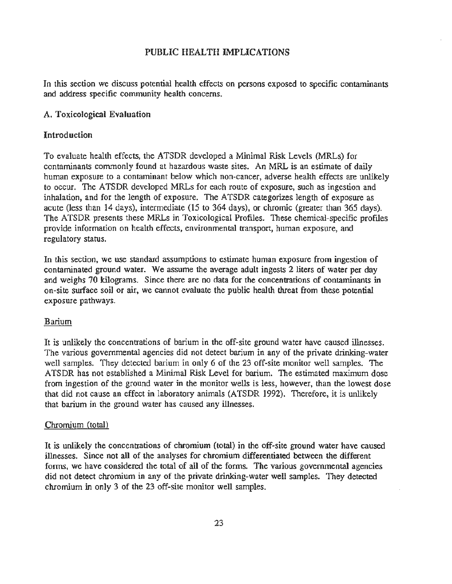#### PUBLIC HEALTH IMPLICATIONS

In this section we discuss potential health effects on persons exposed to specific contaminants and address specific community health concerns.

#### A. Toxicological Evaluation

#### Introduction

To evaluate health effects, the ATSDR developed a Minimal Risk Levels (MRLs) for contaminants commonly found at hazardous waste sites. An MRL is an estimate of daily human exposure to a contaminant below which non-cancer, adverse health effects are unlikely to occur. The A TSDR developed MRLs for each route of exposure, such as ingestion and inhalation, and for the length of exposure. The ATSDR categorizes length of exposure as acute (less than 14 days), intermediate (15 to 364 days), or chromic (greater than 365 days). The ATSDR presents these MRLs in Toxicological Profiles. These chemical-specific profiles provide information on health effects, environmental transport, human exposure, and regulatory status.

In this section, we use standard assumptions to estimate human exposure from ingestion of contaminated ground water. We assume the average adult ingests 2 liters of water per day and weighs 70 kilograms. Since there are no data for the concentrations of contaminants in on-site surface soil or air, we cannot evaluate the public health threat from these potential exposure pathways.

#### Barium

It is unlikely the concentrations of barium in the off-site ground water have caused illnesses. The various governmental agencies did not detect barium in any of the private drinking-water well samples. They detected barium in only 6 of the 23 off-site monitor well samples. The ATSDR has not established a Minimal Risk Level for barium. The estimated maximum dose from ingestion of the ground water in the monitor wells is less, however, than the lowest dose that did not cause an effect in laboratory animals (ATSDR 1992). Therefore, it is unlikely that barium in the ground water has caused any illnesses.

#### Chromium (total)

It is unlikely the concentrations of chromium (total) in the off-site ground water have caused illnesses. Since not all of the analyses for chromium differentiated between the different forms, we have considered the total of all of the forms. The various governmental agencies did not detect chromium in any of the private drinking-water well samples. They detected chromium in only 3 of the 23 off-site monitor well samples.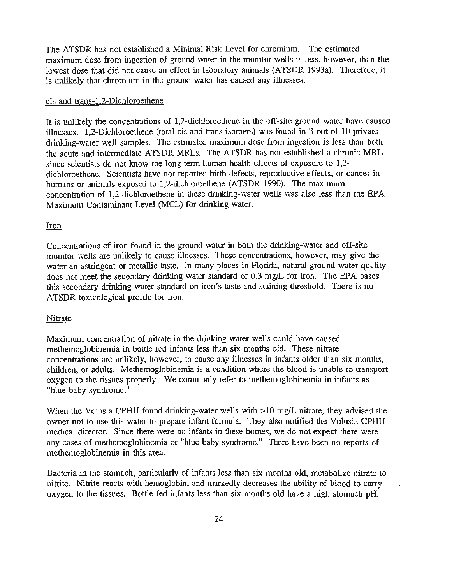The ATSDR has not established a Minimal Risk Level for chromium. The estimated maximum dose from ingestion of ground water in the monitor wells is less, however, than the lowest dose that did not cause an effect in laboratory animals (ATSDR 1993a). Therefore, it is unlikely that chromium in the ground water has caused any illnesses.

#### cis and trans-L2-Dichloroethene

It is unlikely the concentrations of 1,2-dichloroethene in the off-site ground water have caused illnesses. 1,2-Dichloroethene (total cis and trans isomers) was found in 3 out of 10 private drinking-water well samples. The estimated maximum dose from ingestion is less than both the acute and intermediate ATSDR MRLs. The ATSDR has not established a chronic MRL since scientists do not know the long-term human health effects of exposure to 1,2 dichloroethene. Scientists have not reported birth defects, reproductive effects, or cancer in humans or animals exposed to 1,2-dichloroethene (ATSDR 1990). The maximum concentration of 1,2-dichloroethene in these drinking-water wells was also less than the EPA Maximum Contaminant Level (MCL) for drinking water.

#### Iron

Concentrations of iron found in the ground water in both the drinking-water and off-site monitor wells are unlikely to cause illnesses. These concentrations, however, may give the water an astringent or metallic taste. In many places in Florida, natural ground water quality does not meet the secondary drinking water standard of 0.3 mg/L for iron. The EPA bases this secondary drinking water standard on iron's taste and staining threshold. There is no ATSDR toxicological profile for iron.

#### Nitrate

Maximum concentration of nitrate in the drinking-water wells could have caused methemoglobinemia in bottle fed infants less than six months old. These nitrate concentrations are unlikely, however, to cause any illnesses in infants older than six months, children, or adults. Methemoglobinemia is a condition where the blood is unable to transport oxygen to the tissues properly. We commonly refer to methemoglobinemia in infants as "blue baby syndrome."

When the Volusia CPHU found drinking-water wells with  $>10$  mg/L nitrate, they advised the owner not to use this water to prepare infant formula. They also notified the Volusia CPHU medical director. Since there were no infants in these homes, we do not expect there were any cases of methemoglobinemia or "blue baby syndrome." There have been no reports of methemoglobinemia in this area.

Bacteria in the stomach, particularly of infants less than six months old, metabolize nitrate to nitrite. Nitrite reacts with hemoglobin, and markedly decreases the ability of blood to carry oxygen to the tissues. Bottle-fed infants less than six months old have a high stomach pH.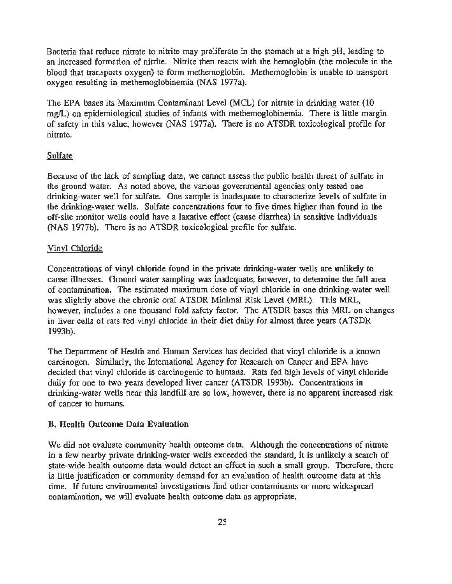Bacteria that reduce nitrate to nitrite may proliferate in the stomach at a high pH, leading to an increased formation of nitrite. Nitrite then reacts with the hemoglobin (the molecule in the blood that transports oxygen) to form methemoglobin. Methemoglobin is unable to transport oxygen resulting in methemoglobinemia (NAS 1977a).

The EPA bases its Maximum Contaminant Level (MCL) for nitrate in drinking water (10 mg/L) on epidemiological studies of infants with methemoglobinemia. There is little margin of safety in this value, however (NAS 1977a). There is no ATSDR toxicological profile for nitrate.

#### Sulfate

Because of the lack of sampling data, we cannot assess the public health threat of sulfate in the ground water. As noted above, the various governmental agencies only tested one drinking-water well for sulfate. One sample is inadequate to characterize levels of sulfate in the drinking-water wells. Sulfate concentrations four to five times higher than found in the off-site monitor wells could have a laxative effect (cause diarrhea) in sensitive individuals (NAS 1977b). There is no ATSDR toxicological profile for sulfate.

#### Vinyl Chloride

Concentrations of vinyl chloride found in the private drinking-water wells are unlikely to cause illnesses. Ground water sampling was inadequate, however, to determine the full area of contamination. The estimated maximum dose of vinyl chloride in one drinking-water well was slightly above the chronic oral ATSDR Minimal Risk Level (MRL). This MRL, however, includes a one thousand fold safety factor. The ATSDR bases this MRL on changes in liver cells of rats fed vinyl chloride in their diet daily for almost three years (ATSDR 1993b).

The Department of Health and Human Services has decided that vinyl chloride is a known carcinogen. Similarly, the International Agency for Research on Cancer and EPA have decided that vinyl chloride is carcinogenic to humans. Rats fed high levels of vinyl chloride daily for one to two years developed liver cancer (ATSDR 1993b). Concentrations in drinking-water wells near this landfill are so low, however, there is no apparent increased risk of cancer to humans.

#### B. Health Outcome Data Evaluation

We did not evaluate community health outcome data. Although the concentrations of nitrate in a few nearby private drinking-water wells exceeded the standard, it is unlikely a search of state-wide health outcome data would detect an effect in such a small group. Therefore, there is little justification or community demand for an evaluation of health outcome data at this time. If future environmental investigations find other contaminants or more widespread contamination, we will evaluate health outcome data as appropriate.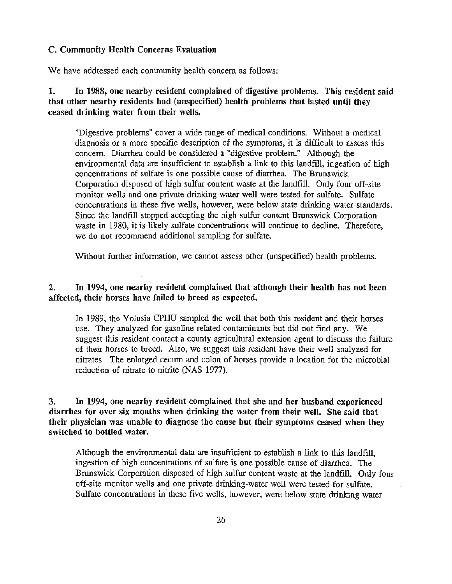#### C. Community Health Concerns Evaluation

We have addressed each community health concern as follows:

I. In 1988, one nearby resident complained of digestive problems. This resident said that other nearby residents had (unspecified) health problems that lasted until they ceased drinking water from their wells.

"Digestive problems" cover a wide range of medical conditions. Without a medical diagnosis or a more specific description of the symptoms, it is difficult to assess this concern. Diarrhea could be considered a "digestive problem." Although the environmental data are insufficient to establish a link to this landfill, ingestion of high concentrations of sulfate is one possible cause of diarrhea. The Brunswick Corporation disposed of high sulfur content waste at the landfill. Only four off-site monitor wells and one private drinking-water well were tested for sulfate. Sulfate concentrations in these five wells, however, were below state drinking water standards. Since the landfill stopped accepting the high sulfur content Brunswick Corporation waste in 1980, it is likely sulfate concentrations will continue to decline. Therefore, we do not recommend additional sampling for sulfate.

Without further information, we cannot assess other (unspecified) health problems.

2. In 1994, one nearby resident complained that although their health has not been affected, their horses have failed to breed as expected.

In 1989, the Volusia CPHU sampled the well that both this resident and their horses use. They analyzed for gasoline related contaminants but did not find any. We suggest this resident contact a county agricultural extension agent to discuss the failure of their horses to breed. Also, we suggest this resident have their well analyzed for nitrates. The enlarged cecum and colon of horses provide a location for the microbial reduction of nitrate to nitrite (NAS 1977).

3. In 1994, one nearby resident complained that she and her husband experienced diarrhea for over six months when drinking the water from their well. She said that their physician was unable to diagnose the cause but their symptoms ceased when they switched to bottled water.

Although the environmental data are insufficient to establish a link to this landfill, ingestion of high concentrations of sulfate is one possible cause of diarrhea. The Brunswick Corporation disposed of high sulfur content waste at the landfill. Only four off-site monitor wells and one private drinking-water well were tested for sulfate. Sulfate concentrations in these five wells, however, were below state drinking water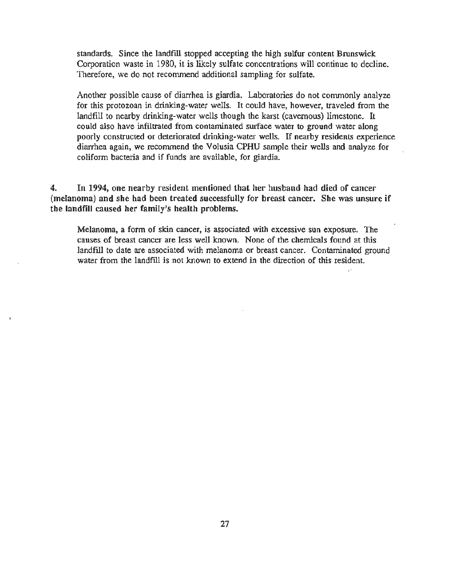standards. Since the landfill stopped accepting the high sulfur content Brunswick Corporation waste in 1980, it is likely sulfate concentrations will continue to decline. Therefore, we do not recommend additional sampling for sulfate.

Another possible cause of diarrhea is giardia. Laboratories do not commonly analyze for this protozoan in drinking-water wells. It could have, however, traveled from the landfill to nearby drinking-water wells though the karst (cavernous) limestone. It could also have inftltrated from contaminated surface water to ground water along poorly constructed or deteriorated drinking-water wells. If nearby residents experience diarrhea again, we recommend the Volusia CPHU sample their wells and analyze for coliform bacteria and if funds are available, for giardia.

4. In 1994, one nearby resident mentioned that her husband had died of cancer (melanoma) and she had been treated successfully for breast cancer. She was unsure if the landfill caused her family's health problems.

Melanoma, a form of skin cancer, is associated with excessive sun exposure. The causes of breast cancer are less well known. None of the chemicals found at this landfill to date are associated with melanoma or breast cancer. Contaminated ground water from the landfill is not known to extend in the direction of this resident.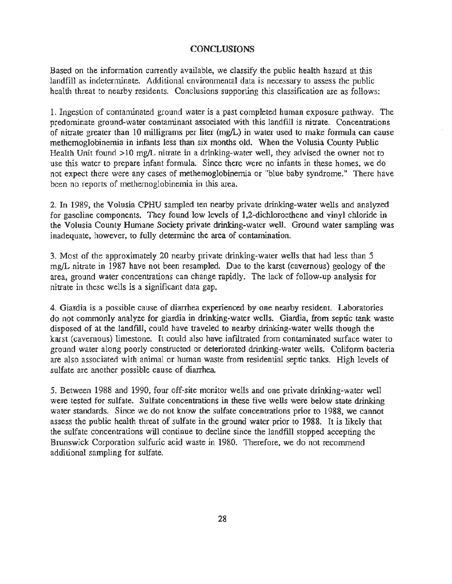#### **CONCLUSIONS**

Based on the information currently available, we classify the public health hazard at this landfill as indeterminate. Additional environmental data is necessary to assess the public health threat to nearby residents. Conclusions supporting this classification are as follows:

1. Ingestion of contaminated ground water is a past completed human exposure pathway. The predominate ground-water contaminant associated with this landfill is nitrate. Concentrations of nitrate greater than 10 milligrams per liter (mg/L) in water used to make formula can cause methemoglobinemia in infants less than six months old. When the Volusia County Public Health Unit found > 10 mg/L nitrate in a drinking-water well, they advised the owner not to use this water to prepare infant formula. Since there were no infants in these homes, we do not expect there were any cases of methemoglobinemia or "blue baby syndrome." There have been no reports of methemoglobinemia in this area.

2. In 1989, the Volusia CPHU sampled ten nearby private drinking-water wells and analyzed for gasoline components. They found low levels of 1,2-dichloroethene and vinyl chloride in the Volusia County Humane Society private drinking-water well. Ground water sampling was inadequate, however, to fully determine the area of contamination.

3. Most of the approximately 20 nearby private drinking-water wells that had less than 5 mg/L nitrate in 1987 have not been resampled. Due to the karst (cavernous) geology of the· area, ground water concentrations can change rapidly. The lack of follow-up analysis for nitrate in these wells is a significant data gap.

4. Giardia is a possible cause of diarrhea experienced by one nearby resident. Laboratories do not commonly analyze for giardia in drinking-water wells. Giardia, from septic tank waste disposed of at the landfill, could have traveled to nearby drinking-water wells though the karst (cavernous) limestone. It could also have inflltrated from contaminated surface water to ground water along poorly constructed or deteriorated drinking-water wells. Coliform bacteria are also associated with animal or human waste from residential septic tanks. High levels of sulfate are another possible cause of diarrhea.

5. Between 1988 and 1990, four off-site monitor wells and one private drinking-water well were tested for sulfate. Sulfate concentrations in these five wells were below state drinking water standards. Since we do not know the sulfate concentrations prior to 1988, we cannot assess the public health threat of sulfate in the ground water prior to 1988. It is likely that the sulfate concentrations will continue to decline since the landfill stopped accepting the Brunswick Corporation sulfuric acid waste in 1980. Therefore, we do not recommend additional sampling for sulfate.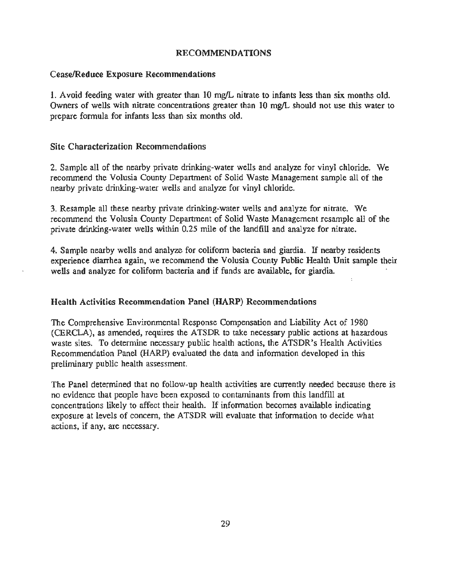#### RECOMMENDATIONS

#### Cease/Reduce Exposure Recommendations

1. Avoid feeding water with greater than 10 mg/L nitrate to infants less than six months old. Owners of wells with nitrate concentrations greater than 10 mg/L should not use this water to prepare formula for infants less than six months old.

#### Site Characterization Recommendations

2. Sample all of the nearby private drinking-water wells and analyze for vinyl chloride. We recommend the Volusia County Department of Solid Waste Management sample all of the nearby private drinking-water wells and analyze for vinyl chloride.

3. Resample all these nearby private drinking-water wells and analyze for nitrate. We recommend the Volusia County Department of Solid Waste Management resample all of the private drinking-water wells within 0.25 mile of the landfill and analyze for nitrate.

4. Sample nearby wells and analyze for coliform bacteria and giardia. If nearby residents experience diarrhea again, we recommend the Volusia County Public Health Unit sample their wells and analyze for coliform bacteria and if funds are available, for giardia. ' - .

#### Health Activities Recommendation Panel (HARP) Recommendations

The Comprehensive Environmental Response Compensation and Liability Act of 1980 (CERCLA), as amended, requires the ATSDR to take necessary public actions at hazardous waste sites. To determine necessary public health actions, the ATSDR's Health Activities Recommendation Panel (HARP) evaluated the data and information developed in this preliminary public health assessment.

The Panel determined that no follow-up health activities are currently needed because there is no evidence that people have been exposed to contaminants from this landfill at concentrations likely to affect their health. If information becomes available indicating exposure at levels of concern, the ATSDR will evaluate that information to decide what actions, if any, are necessary.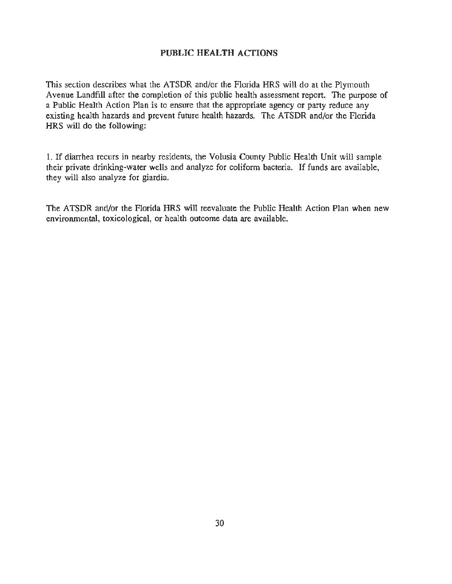#### PUBLIC **HEALTH** ACTIONS

This section describes what the ATSDR and/or the Florida HRS will do at the Plymouth Avenue Landfill after the completion of this public health assessment report. The purpose of a Public Health Action Plan is to ensure that the appropriate agency or party reduce any existing health hazards and prevent future health hazards. The ATSDR and/or the Florida HRS will do the following:

1. If diarrhea recurs in nearby residents, the Volusia County Public Health Unit will sample their private drinking-water wells and analyze for coliform bacteria. If funds are available, they will also analyze for giardia.

The ATSDR and/or the Florida HRS will reevaluate the Public Health Action Plan when new environmental, toxicological, or health outcome data are available.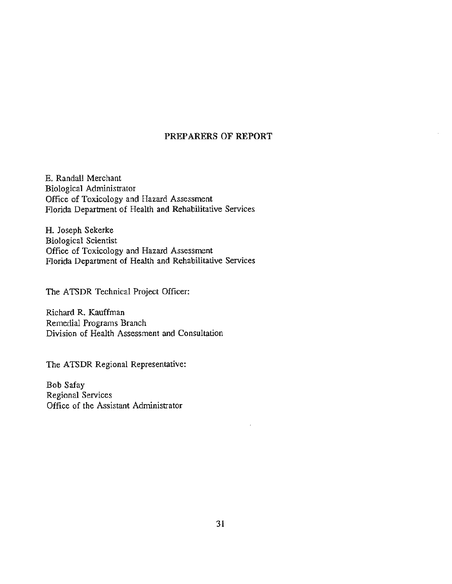#### **PREPARERS OF REPORT**

E. Randall Merchant Biological Administrator Office of Toxicology and Hazard Assessment Florida Department of Health and Rehabilitative Services

H. Joseph Sekerke Biological Scientist Office of Toxicology and Hazard Assessment Florida Department of Health and Rehabilitative Services

The ATSDR Technical Project Officer:

Richard R. Kauffman Remedial Programs Branch Division of Health Assessment and Consultation

The ATSDR Regional Representative:

Bob Safay Regional Services Office of the Assistant Administrator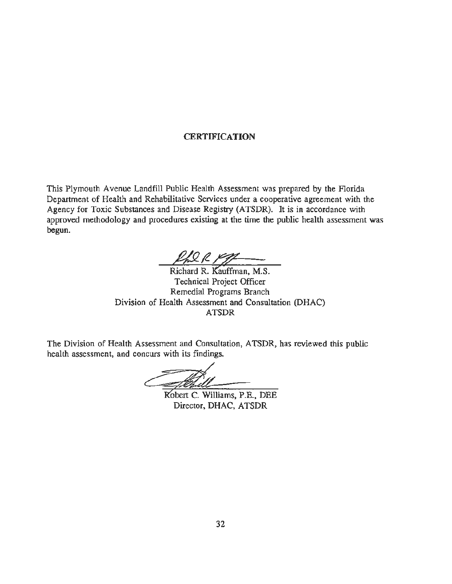#### **CERTIFICATION**

This Plymouth Avenue Landfill Public Health Assessment was prepared by the Florida Department of Health and Rehabilitative Services under a cooperative agreement with the Agency for Toxic Substances and Disease Registry (ATSDR). It is in accordance with approved methodology and procedures existing at the time the public health assessment was begun.

 $\frac{\rho_{h} Q \rho_{h}}{Richard R. Kauffman, M.S.}$ 

Technical Project Officer Remedial Programs Branch Division of Health Assessment and Consultation (DHAC) ATSDR

The Division of Health Assessment and Consultation, ATSDR, has reviewed this public health assessment, and concurs with its findings.

ams<br>Robert C. Williams, P.E., DEE

Director, DHAC, ATSDR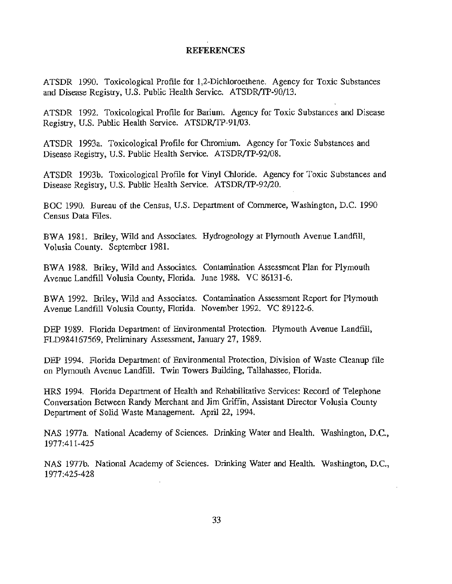#### **REFERENCES**

ATSDR 1990. Toxicological Profile for 1,2-Dichloroethene. Agency for Toxic Substances and Disease Registry, U.S. Public Health Service. ATSDR/TP-90/13.

ATSDR 1992. Toxicological Profile for Barium. Agency for Toxic Substances and Disease Registry, U.S. Public Health Service. ATSDR/TP-91/03.

ATSDR 1993a. Toxicological Profile for Chromium. Agency for Toxic Substances and Disease Registry, U.S. Public Health Service. ATSDR/TP-92/08.

ATSDR 1993b. Toxicological Profile for Vinyl Chloride. Agency for Toxic Substances and Disease Registry, U.S. Public Health Service. ATSDR/TP-92/20.

BOC 1990. Bureau of the Census, U.S. Department of Commerce, Washington, D.C. 1990 Census Data Files.

BWA 1981. Briley, Wild and Associates. Hydrogeology at Plymouth Avenue Landfill, Volusia County. September 1981.

BWA 1988. Briley, Wild and Associates. Contamination Assessment Plan for Plymouth Avenue Landfill Volusia County, Florida. June 1988. VC 86131-6.

BWA 1992. Briley, Wild and Associates. Contamination Assessment Report for Plymouth Avenue Landfill Volusia County, Florida. November 1992. VC 89122-6.

DEP 1989. Florida Department of Environmental Protection. Plymouth Avenue Landfill, FLD984167569, Preliminary Assessment, January 27, 1989.

DEP 1994. Florida Department of Environmental Protection, Division of Waste Cleanup file on Plymouth Avenue Landfill. Twin Towers Building, Tallahassee, Florida.

HRS 1994. Florida Department of Health and Rehabilitative Services: Record of Telephone Conversation Between Randy Merchant and Jim Griffin, Assistant Director V olusia County Department of Solid Waste Management. April 22, 1994.

NAS 1977a. National Academy of Sciences. Drinking Water and Health. Washington, D.C., 1977:411-425

NAS 1977b. National Academy of Sciences. Drinking Water and Health. Washington, D.C., 1977:425-428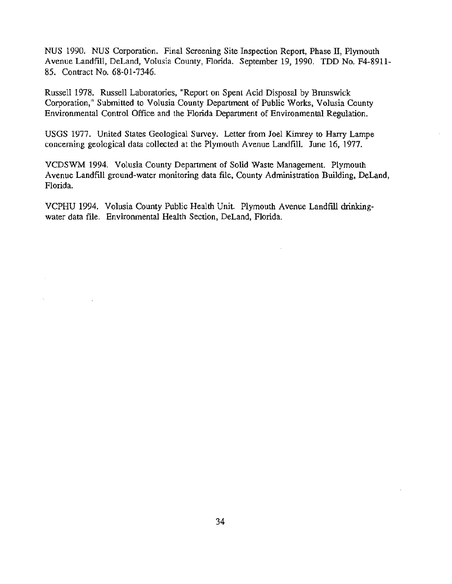NUS 1990. NUS Corporation. Final Screening Site Inspection Report, Phase II, Plymouth Avenue Landfill, DeLand, Volusia County, Florida. September 19, 1990. TDD No. F4-8911- 85. Contract No. 68-01-7346.

Russell 1978. Russell Laboratories, "Report on Spent Acid Disposal by Brunswick Corporation," Submitted to Volusia County Department of Public Works, Volusia County Environmental Control Office and the Florida Department of Environmental Regulation.

USGS 1977. United States Geological Smvey. Letter from Joel Kimrey to Harry Lampe concerning geological data collected at the Plymouth Avenue Landfill. June 16, 1977.

VCDSWM 1994. Volusia County Department of Solid Waste Management. Plymouth Avenue Landfill ground-water monitoring data file, County Administration Building, DeLand, Florida.

VCPHU 1994. Volusia County Public Health Unit. Plymouth Avenue Landfill drinkingwater data file. Environmental Health Section, DeLand, Florida.

÷,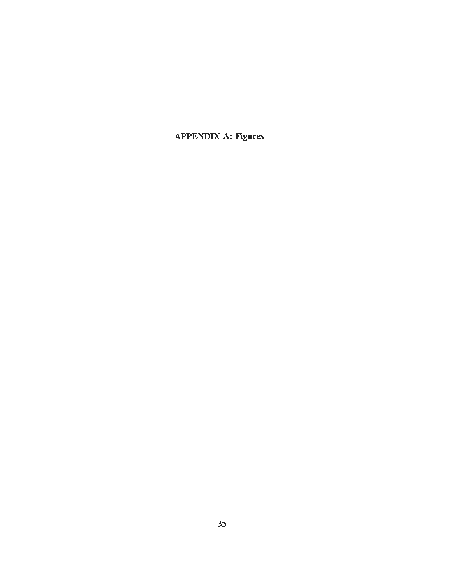APPENDIX A: Figures

 $\sim 10^{11}$  km  $^{-1}$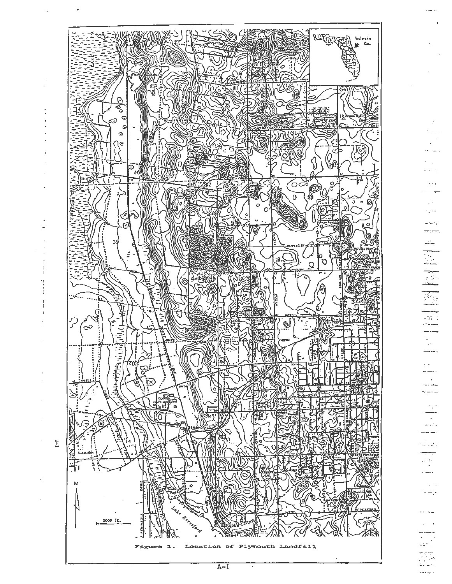

 $\sim 10$ بالحيرة  $22\%$ I ter erne g dis للمحافظ 94. 44 as d سيبك  $\sim$   $\sim$  $\overline{\phantom{a}}$  $\mathbb{R}^2$ -- ---.<br>Ngjarje  $\mathcal{A}^{\mathcal{A}}$ يائيوني lud i a kale  $\sim$ بالمداء والأساد والربيسية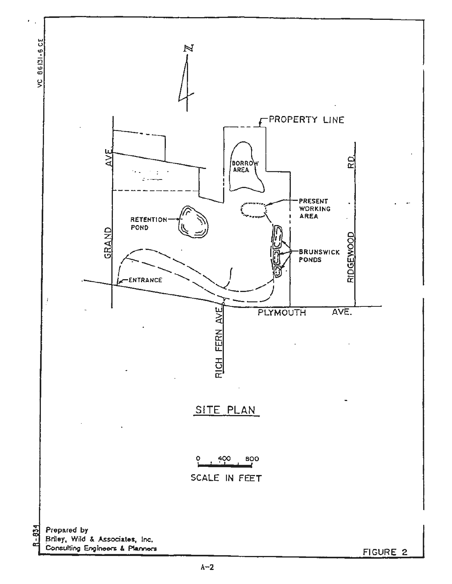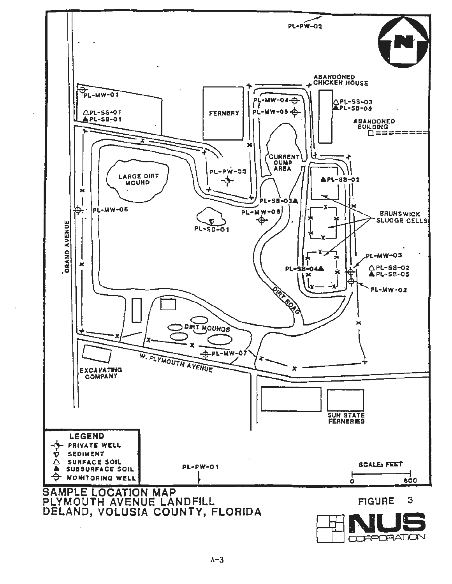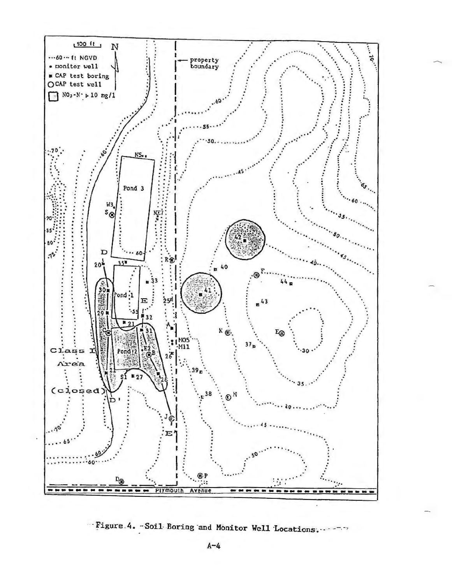

"Figure 4. - Soil Boring and Monitor Well Locations.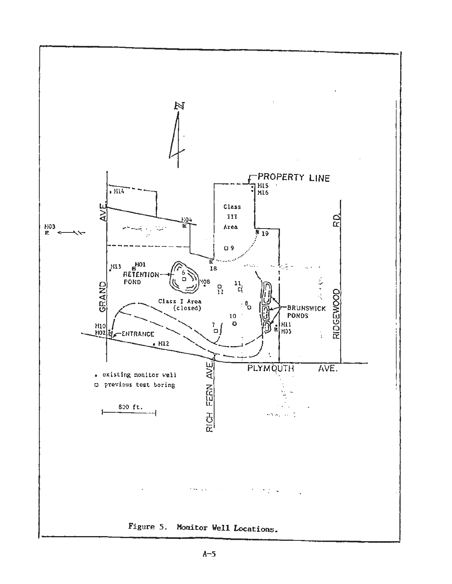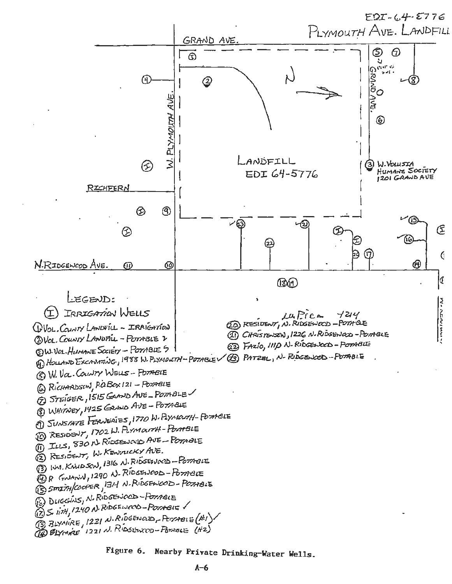

Nearby Private Drinking-Water Wells. Figure 6.